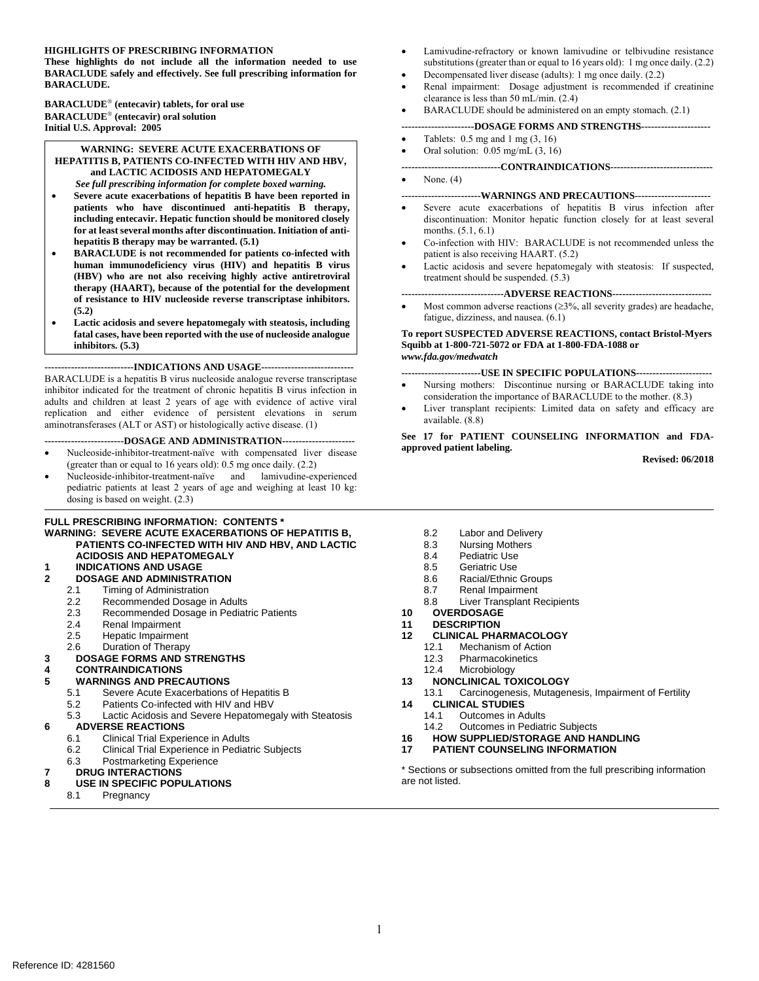#### **HIGHLIGHTS OF PRESCRIBING INFORMATION**

**These highlights do not include all the information needed to use BARACLUDE safely and effectively. See full prescribing information for BARACLUDE.** 

**BARACLUDE (entecavir) tablets, for oral use BARACLUDE (entecavir) oral solution Initial U.S. Approval: 2005** 

#### **WARNING: SEVERE ACUTE EXACERBATIONS OF HEPATITIS B, PATIENTS CO-INFECTED WITH HIV AND HBV, and LACTIC ACIDOSIS AND HEPATOMEGALY**  *See full prescribing information for complete boxed warning.*

- **Severe acute exacerbations of hepatitis B have been reported in patients who have discontinued anti-hepatitis B therapy, including entecavir. Hepatic function should be monitored closely for at least several months after discontinuation. Initiation of antihepatitis B therapy may be warranted. (5.1)**
- **BARACLUDE is not recommended for patients co-infected with human immunodeficiency virus (HIV) and hepatitis B virus (HBV) who are not also receiving highly active antiretroviral therapy (HAART), because of the potential for the development of resistance to HIV nucleoside reverse transcriptase inhibitors. (5.2)**
- **Lactic acidosis and severe hepatomegaly with steatosis, including fatal cases, have been reported with the use of nucleoside analogue inhibitors. (5.3)**

#### **---------------------------INDICATIONS AND USAGE----------------------------**

BARACLUDE is a hepatitis B virus nucleoside analogue reverse transcriptase inhibitor indicated for the treatment of chronic hepatitis B virus infection in adults and children at least 2 years of age with evidence of active viral replication and either evidence of persistent elevations in serum aminotransferases (ALT or AST) or histologically active disease. (1)

#### **------------------------DOSAGE AND ADMINISTRATION----------------------**

- Nucleoside-inhibitor-treatment-naïve with compensated liver disease (greater than or equal to 16 years old): 0.5 mg once daily. (2.2)
- Nucleoside-inhibitor-treatment-naïve and lamivudine-experienced pediatric patients at least 2 years of age and weighing at least 10 kg: dosing is based on weight. (2.3)

#### **FULL PRESCRIBING INFORMATION: CONTENTS \***

**WARNING: SEVERE ACUTE EXACERBATIONS OF HEPATITIS B, PATIENTS CO-INFECTED WITH HIV AND HBV, AND LACTIC ACIDOSIS AND HEPATOMEGALY 1 INDICATIONS AND USAGE**

#### **2 DOSAGE AND ADMINISTRATION**

- - 2.1 Timing of Administration<br>2.2 Recommended Dosage i Recommended Dosage in Adults
	- 2.3 Recommended Dosage in Pediatric Patients
	-
	- 2.4 Renal Impairment
	- 2.5 Hepatic Impairment

#### 2.6 Duration of Therapy **3 DOSAGE FORMS AND STRENGTHS**

#### **4 CONTRAINDICATIONS 5 WARNINGS AND PRECAUTIONS**

- 5.1 Severe Acute Exacerbations of Hepatitis B
- 5.2 Patients Co-infected with HIV and HBV
- 5.3 Lactic Acidosis and Severe Hepatomegaly with Steatosis **6 ADVERSE REACTIONS**

- 6.1 Clinical Trial Experience in Adults
- 6.2 Clinical Trial Experience in Pediatric Subjects

#### 6.3 Postmarketing Experience

#### **7 DRUG INTERACTIONS**

- **8 USE IN SPECIFIC POPULATIONS**
	- Pregnancy
- Lamivudine-refractory or known lamivudine or telbivudine resistance substitutions (greater than or equal to 16 years old): 1 mg once daily. (2.2)
- Decompensated liver disease (adults): 1 mg once daily. (2.2)
- Renal impairment: Dosage adjustment is recommended if creatinine clearance is less than 50 mL/min. (2.4)
- BARACLUDE should be administered on an empty stomach. (2.1)

#### **----------------------DOSAGE FORMS AND STRENGTHS---------------------**

- Tablets:  $0.5 \text{ mg}$  and  $1 \text{ mg}$   $(3, 16)$
- Oral solution: 0.05 mg/mL (3, 16)

#### **------------------------------CONTRAINDICATIONS-------------------------------**

None. (4)

#### **------------------------WARNINGS AND PRECAUTIONS-----------------------**

- Severe acute exacerbations of hepatitis B virus infection after discontinuation: Monitor hepatic function closely for at least several months. (5.1, 6.1)
- Co-infection with HIV: BARACLUDE is not recommended unless the patient is also receiving HAART. (5.2)
- Lactic acidosis and severe hepatomegaly with steatosis: If suspected, treatment should be suspended. (5.3)

**-------------------------------ADVERSE REACTIONS------------------------------** 

Most common adverse reactions  $(\geq 3\%$ , all severity grades) are headache, fatigue, dizziness, and nausea. (6.1)

#### **To report SUSPECTED ADVERSE REACTIONS, contact Bristol-Myers Squibb at 1-800-721-5072 or FDA at 1-800-FDA-1088 or**  *www.fda.gov/medwatch*

**------------------------USE IN SPECIFIC POPULATIONS-----------------------** 

- Nursing mothers: Discontinue nursing or BARACLUDE taking into consideration the importance of BARACLUDE to the mother. (8.3)
- Liver transplant recipients: Limited data on safety and efficacy are available. (8.8)

#### **See 17 for PATIENT COUNSELING INFORMATION and FDAapproved patient labeling.**

**Revised: 06/2018**

- 8.2 Labor and Delivery
- 8.3 Nursing Mothers
- 8.4 Pediatric Use
- 8.5 Geriatric Use
- 8.6 Racial/Ethnic Groups
- 
- 8.7 Renal Impairment<br>8.8 Liver Transplant R **Liver Transplant Recipients**
- 
- **11 DESCRIPTION**
- **12 CLINICAL PHARMACOLOGY**
- Mechanism of Action
	- 12.3 Pharmacokinetics
	- 12.4 Microbiology
- **13 NONCLINICAL TOXICOLOGY**

13.1 Carcinogenesis, Mutagenesis, Impairment of Fertility **14 CLINICAL STUDIES**

- 
- 14.1 Outcomes in Adults<br>14.2 Outcomes in Pediat **Outcomes in Pediatric Subjects**
- **16 HOW SUPPLIED/STORAGE AND HANDLING**
- **17 PATIENT COUNSELING INFORMATION**

\* Sections or subsections omitted from the full prescribing information are not listed.

# **10 OVERDOSAGE**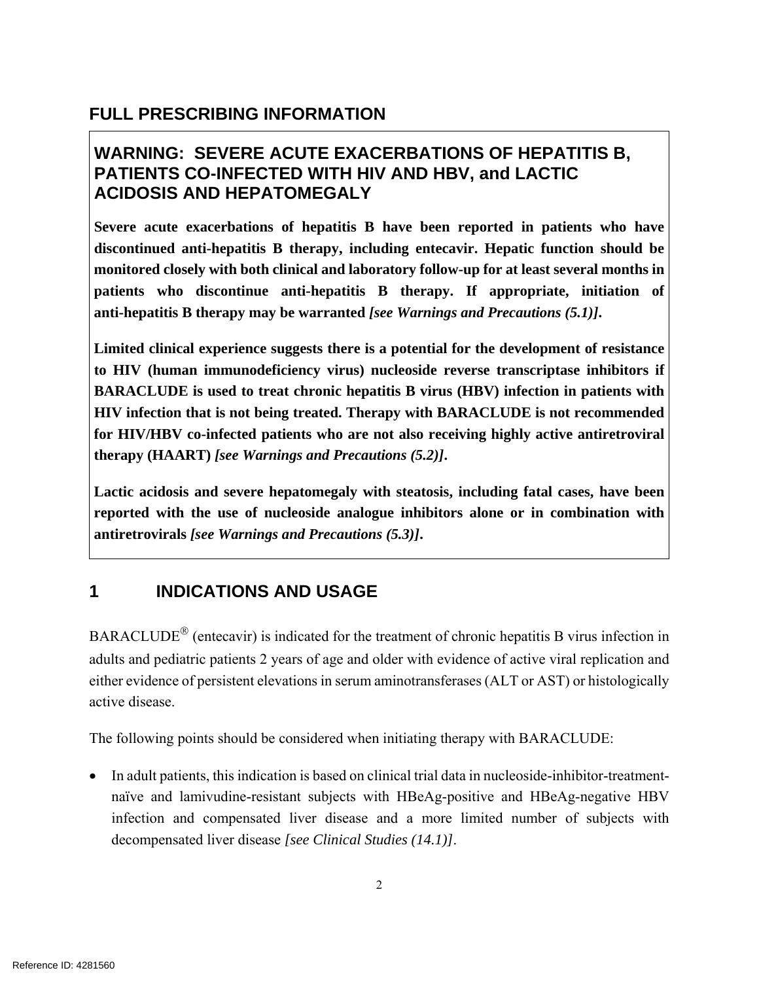## **FULL PRESCRIBING INFORMATION**

## **WARNING: SEVERE ACUTE EXACERBATIONS OF HEPATITIS B, PATIENTS CO-INFECTED WITH HIV AND HBV, and LACTIC ACIDOSIS AND HEPATOMEGALY**

**Severe acute exacerbations of hepatitis B have been reported in patients who have discontinued anti-hepatitis B therapy, including entecavir. Hepatic function should be monitored closely with both clinical and laboratory follow-up for at least several months in patients who discontinue anti-hepatitis B therapy. If appropriate, initiation of anti-hepatitis B therapy may be warranted** *[see Warnings and Precautions (5.1)]***.**

**Limited clinical experience suggests there is a potential for the development of resistance to HIV (human immunodeficiency virus) nucleoside reverse transcriptase inhibitors if BARACLUDE is used to treat chronic hepatitis B virus (HBV) infection in patients with HIV infection that is not being treated. Therapy with BARACLUDE is not recommended for HIV/HBV co-infected patients who are not also receiving highly active antiretroviral therapy (HAART)** *[see Warnings and Precautions (5.2)]***.** 

**Lactic acidosis and severe hepatomegaly with steatosis, including fatal cases, have been reported with the use of nucleoside analogue inhibitors alone or in combination with antiretrovirals** *[see Warnings and Precautions (5.3)]***.**

## **1 INDICATIONS AND USAGE**

BARACLUDE<sup>®</sup> (entecavir) is indicated for the treatment of chronic hepatitis B virus infection in adults and pediatric patients 2 years of age and older with evidence of active viral replication and either evidence of persistent elevations in serum aminotransferases (ALT or AST) or histologically active disease.

The following points should be considered when initiating therapy with BARACLUDE:

 In adult patients, this indication is based on clinical trial data in nucleoside-inhibitor-treatmentnaïve and lamivudine-resistant subjects with HBeAg-positive and HBeAg-negative HBV infection and compensated liver disease and a more limited number of subjects with decompensated liver disease *[see Clinical Studies (14.1)]*.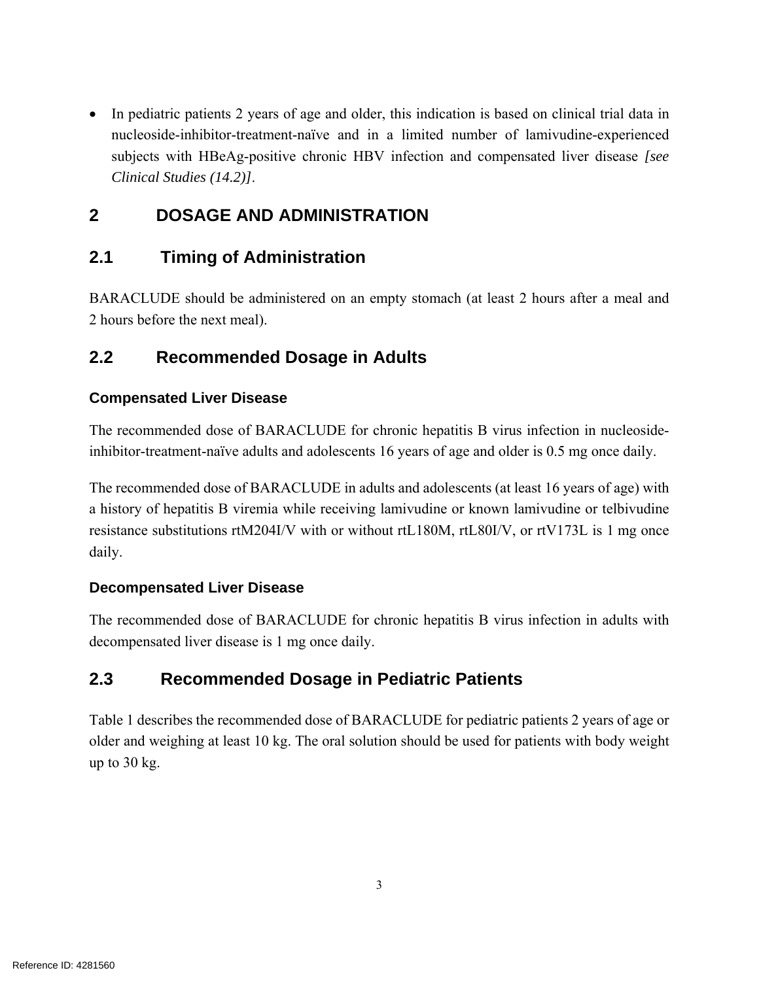• In pediatric patients 2 years of age and older, this indication is based on clinical trial data in nucleoside-inhibitor-treatment-naïve and in a limited number of lamivudine-experienced subjects with HBeAg-positive chronic HBV infection and compensated liver disease *[see Clinical Studies (14.2)]*.

## **2 DOSAGE AND ADMINISTRATION**

## **2.1 Timing of Administration**

BARACLUDE should be administered on an empty stomach (at least 2 hours after a meal and 2 hours before the next meal).

## **2.2 Recommended Dosage in Adults**

### **Compensated Liver Disease**

The recommended dose of BARACLUDE for chronic hepatitis B virus infection in nucleosideinhibitor-treatment-naïve adults and adolescents 16 years of age and older is 0.5 mg once daily.

The recommended dose of BARACLUDE in adults and adolescents (at least 16 years of age) with a history of hepatitis B viremia while receiving lamivudine or known lamivudine or telbivudine resistance substitutions rtM204I/V with or without rtL180M, rtL80I/V, or rtV173L is 1 mg once daily.

### **Decompensated Liver Disease**

The recommended dose of BARACLUDE for chronic hepatitis B virus infection in adults with decompensated liver disease is 1 mg once daily.

## **2.3 Recommended Dosage in Pediatric Patients**

Table 1 describes the recommended dose of BARACLUDE for pediatric patients 2 years of age or older and weighing at least 10 kg. The oral solution should be used for patients with body weight up to 30 kg.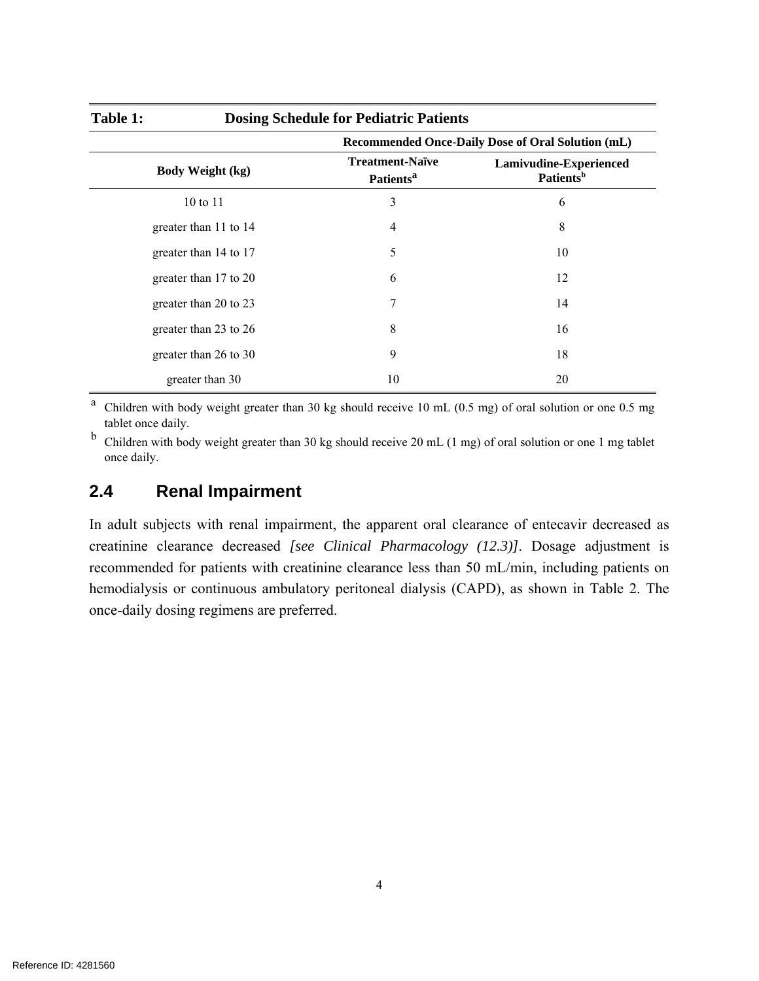| <b>Dosing Schedule for Pediatric Patients</b><br>Table 1: |                                                       |                                                   |  |  |
|-----------------------------------------------------------|-------------------------------------------------------|---------------------------------------------------|--|--|
|                                                           |                                                       | Recommended Once-Daily Dose of Oral Solution (mL) |  |  |
| <b>Body Weight (kg)</b>                                   | <b>Treatment-Naïve</b><br><b>Patients<sup>a</sup></b> | Lamivudine-Experienced<br>Patients <sup>b</sup>   |  |  |
| 10 to 11                                                  | 3                                                     | 6                                                 |  |  |
| greater than 11 to 14                                     | 4                                                     | 8                                                 |  |  |
| greater than 14 to 17                                     | 5                                                     | 10                                                |  |  |
| greater than 17 to 20                                     | 6                                                     | 12                                                |  |  |
| greater than 20 to 23                                     | 7                                                     | 14                                                |  |  |
| greater than 23 to 26                                     | 8                                                     | 16                                                |  |  |
| greater than 26 to 30                                     | 9                                                     | 18                                                |  |  |
| greater than 30                                           | 10                                                    | 20                                                |  |  |

a Children with body weight greater than 30 kg should receive 10 mL (0.5 mg) of oral solution or one 0.5 mg tablet once daily.

b Children with body weight greater than 30 kg should receive 20 mL (1 mg) of oral solution or one 1 mg tablet once daily.

### **2.4 Renal Impairment**

In adult subjects with renal impairment, the apparent oral clearance of entecavir decreased as creatinine clearance decreased *[see Clinical Pharmacology (12.3)]*. Dosage adjustment is recommended for patients with creatinine clearance less than 50 mL/min, including patients on hemodialysis or continuous ambulatory peritoneal dialysis (CAPD), as shown in Table 2. The once-daily dosing regimens are preferred.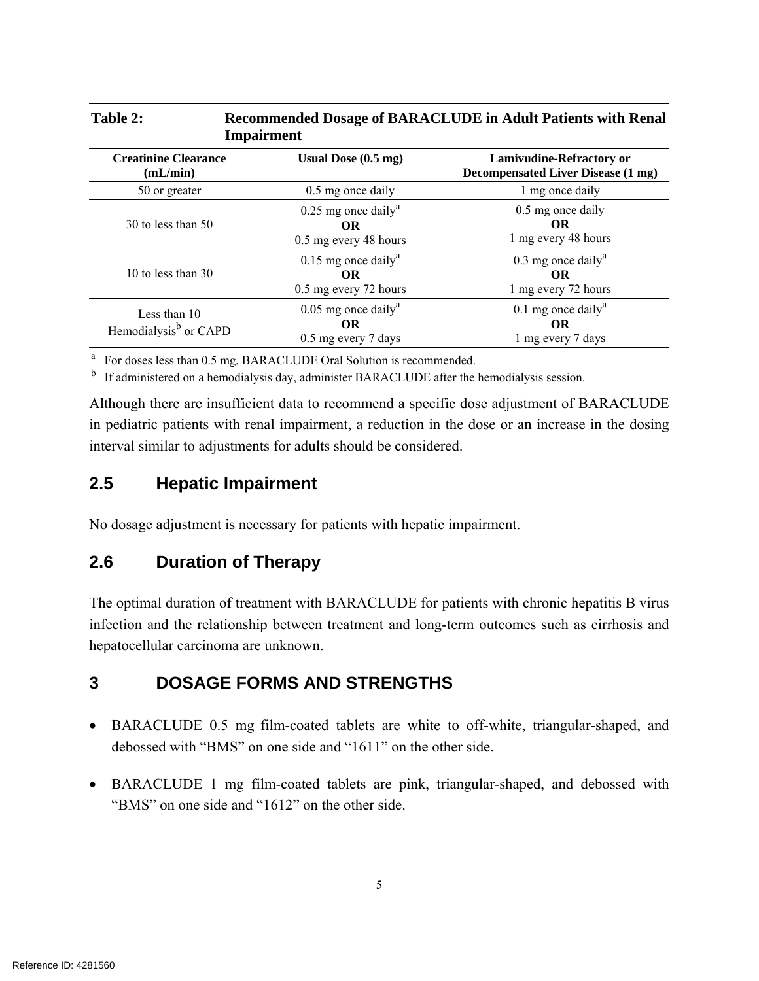| Table 2:<br><b>Recommended Dosage of BARACLUDE in Adult Patients with Renal</b><br><b>Impairment</b> |                                                                         |                                                                              |  |  |
|------------------------------------------------------------------------------------------------------|-------------------------------------------------------------------------|------------------------------------------------------------------------------|--|--|
| <b>Creatinine Clearance</b><br>(mL/min)                                                              | Usual Dose $(0.5 \text{ mg})$                                           | <b>Lamivudine-Refractory or</b><br><b>Decompensated Liver Disease (1 mg)</b> |  |  |
| 50 or greater                                                                                        | 0.5 mg once daily                                                       | 1 mg once daily                                                              |  |  |
| 30 to less than 50                                                                                   | $0.25$ mg once daily <sup>a</sup><br><b>OR</b><br>0.5 mg every 48 hours | 0.5 mg once daily<br><b>OR</b><br>1 mg every 48 hours                        |  |  |
| 10 to less than $30$                                                                                 | $0.15$ mg once daily <sup>a</sup><br>OR.<br>0.5 mg every 72 hours       | $0.3$ mg once daily <sup>a</sup><br><b>OR</b><br>1 mg every 72 hours         |  |  |
| Less than 10<br>Hemodialysis <sup>b</sup> or CAPD                                                    | $0.05$ mg once daily <sup>a</sup><br><b>OR</b><br>0.5 mg every 7 days   | 0.1 mg once daily <sup>a</sup><br>OR<br>1 mg every 7 days                    |  |  |

<sup>a</sup> For doses less than 0.5 mg, BARACLUDE Oral Solution is recommended.

<sup>b</sup> If administered on a hemodialysis day, administer BARACLUDE after the hemodialysis session.

Although there are insufficient data to recommend a specific dose adjustment of BARACLUDE in pediatric patients with renal impairment, a reduction in the dose or an increase in the dosing interval similar to adjustments for adults should be considered.

## **2.5 Hepatic Impairment**

No dosage adjustment is necessary for patients with hepatic impairment.

## **2.6 Duration of Therapy**

The optimal duration of treatment with BARACLUDE for patients with chronic hepatitis B virus infection and the relationship between treatment and long-term outcomes such as cirrhosis and hepatocellular carcinoma are unknown.

## **3 DOSAGE FORMS AND STRENGTHS**

- BARACLUDE 0.5 mg film-coated tablets are white to off-white, triangular-shaped, and debossed with "BMS" on one side and "1611" on the other side.
- BARACLUDE 1 mg film-coated tablets are pink, triangular-shaped, and debossed with "BMS" on one side and "1612" on the other side.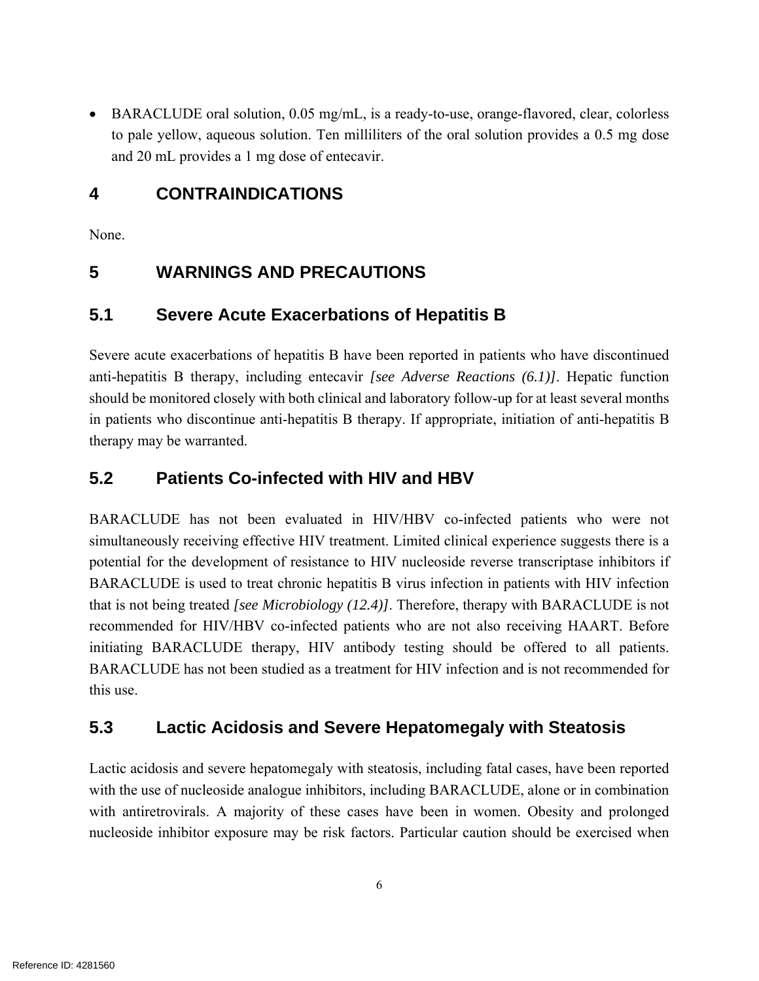BARACLUDE oral solution, 0.05 mg/mL, is a ready-to-use, orange-flavored, clear, colorless to pale yellow, aqueous solution. Ten milliliters of the oral solution provides a 0.5 mg dose and 20 mL provides a 1 mg dose of entecavir.

## **4 CONTRAINDICATIONS**

None.

## **5 WARNINGS AND PRECAUTIONS**

## **5.1 Severe Acute Exacerbations of Hepatitis B**

Severe acute exacerbations of hepatitis B have been reported in patients who have discontinued anti-hepatitis B therapy, including entecavir *[see Adverse Reactions (6.1)]*. Hepatic function should be monitored closely with both clinical and laboratory follow-up for at least several months in patients who discontinue anti-hepatitis B therapy. If appropriate, initiation of anti-hepatitis B therapy may be warranted.

## **5.2 Patients Co-infected with HIV and HBV**

BARACLUDE has not been evaluated in HIV/HBV co-infected patients who were not simultaneously receiving effective HIV treatment. Limited clinical experience suggests there is a potential for the development of resistance to HIV nucleoside reverse transcriptase inhibitors if BARACLUDE is used to treat chronic hepatitis B virus infection in patients with HIV infection that is not being treated *[see Microbiology (12.4)]*. Therefore, therapy with BARACLUDE is not recommended for HIV/HBV co-infected patients who are not also receiving HAART. Before initiating BARACLUDE therapy, HIV antibody testing should be offered to all patients. BARACLUDE has not been studied as a treatment for HIV infection and is not recommended for this use.

## **5.3 Lactic Acidosis and Severe Hepatomegaly with Steatosis**

Lactic acidosis and severe hepatomegaly with steatosis, including fatal cases, have been reported with the use of nucleoside analogue inhibitors, including BARACLUDE, alone or in combination with antiretrovirals. A majority of these cases have been in women. Obesity and prolonged nucleoside inhibitor exposure may be risk factors. Particular caution should be exercised when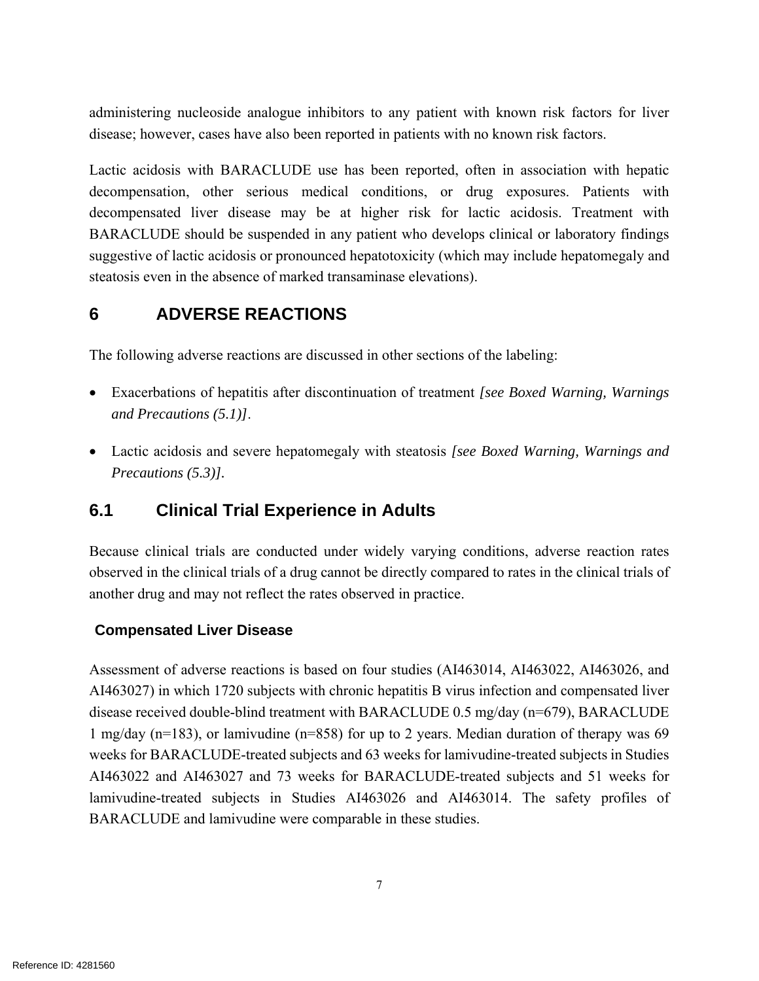administering nucleoside analogue inhibitors to any patient with known risk factors for liver disease; however, cases have also been reported in patients with no known risk factors.

Lactic acidosis with BARACLUDE use has been reported, often in association with hepatic decompensation, other serious medical conditions, or drug exposures. Patients with decompensated liver disease may be at higher risk for lactic acidosis. Treatment with BARACLUDE should be suspended in any patient who develops clinical or laboratory findings suggestive of lactic acidosis or pronounced hepatotoxicity (which may include hepatomegaly and steatosis even in the absence of marked transaminase elevations).

## **6 ADVERSE REACTIONS**

The following adverse reactions are discussed in other sections of the labeling:

- Exacerbations of hepatitis after discontinuation of treatment *[see Boxed Warning, Warnings and Precautions (5.1)]*.
- Lactic acidosis and severe hepatomegaly with steatosis *[see Boxed Warning, Warnings and Precautions (5.3)].*

## **6.1 Clinical Trial Experience in Adults**

Because clinical trials are conducted under widely varying conditions, adverse reaction rates observed in the clinical trials of a drug cannot be directly compared to rates in the clinical trials of another drug and may not reflect the rates observed in practice.

### **Compensated Liver Disease**

Assessment of adverse reactions is based on four studies (AI463014, AI463022, AI463026, and AI463027) in which 1720 subjects with chronic hepatitis B virus infection and compensated liver disease received double-blind treatment with BARACLUDE 0.5 mg/day (n=679), BARACLUDE 1 mg/day (n=183), or lamivudine (n=858) for up to 2 years. Median duration of therapy was 69 weeks for BARACLUDE-treated subjects and 63 weeks for lamivudine-treated subjects in Studies AI463022 and AI463027 and 73 weeks for BARACLUDE-treated subjects and 51 weeks for lamivudine-treated subjects in Studies AI463026 and AI463014. The safety profiles of BARACLUDE and lamivudine were comparable in these studies.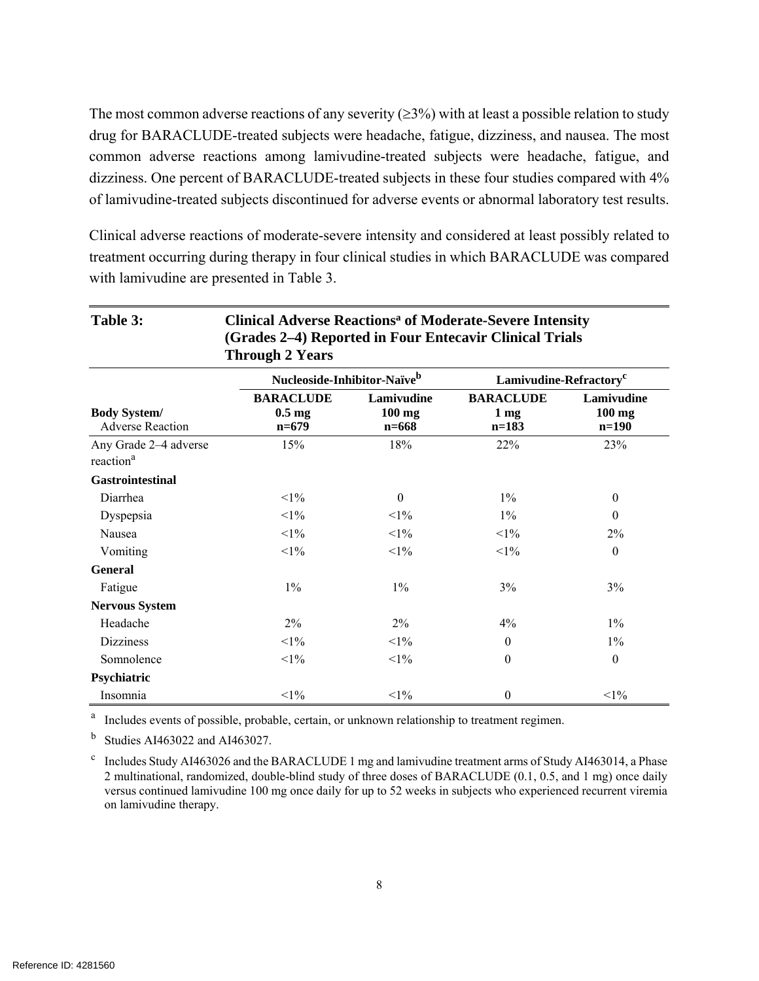The most common adverse reactions of any severity  $(≥3%)$  with at least a possible relation to study drug for BARACLUDE-treated subjects were headache, fatigue, dizziness, and nausea. The most common adverse reactions among lamivudine-treated subjects were headache, fatigue, and dizziness. One percent of BARACLUDE-treated subjects in these four studies compared with 4% of lamivudine-treated subjects discontinued for adverse events or abnormal laboratory test results.

Clinical adverse reactions of moderate-severe intensity and considered at least possibly related to treatment occurring during therapy in four clinical studies in which BARACLUDE was compared with lamivudine are presented in Table 3.

| Table 3:                                       | <b>Clinical Adverse Reactions<sup>a</sup> of Moderate-Severe Intensity</b><br>(Grades 2–4) Reported in Four Entecavir Clinical Trials<br><b>Through 2 Years</b> |                                     |                                                |                                   |  |
|------------------------------------------------|-----------------------------------------------------------------------------------------------------------------------------------------------------------------|-------------------------------------|------------------------------------------------|-----------------------------------|--|
|                                                | Nucleoside-Inhibitor-Naïve <sup>b</sup>                                                                                                                         |                                     | Lamivudine-Refractory <sup>c</sup>             |                                   |  |
| <b>Body System/</b><br><b>Adverse Reaction</b> | <b>BARACLUDE</b><br>$0.5$ mg<br>$n=679$                                                                                                                         | Lamivudine<br>$100$ mg<br>$n = 668$ | <b>BARACLUDE</b><br>1 <sub>mg</sub><br>$n=183$ | Lamivudine<br>$100$ mg<br>$n=190$ |  |
| Any Grade 2-4 adverse<br>reaction <sup>a</sup> | 15%                                                                                                                                                             | 18%                                 | 22%                                            | 23%                               |  |
| <b>Gastrointestinal</b>                        |                                                                                                                                                                 |                                     |                                                |                                   |  |
| Diarrhea                                       | $<1\%$                                                                                                                                                          | $\theta$                            | $1\%$                                          | $\theta$                          |  |
| Dyspepsia                                      | $<1\%$                                                                                                                                                          | $<1\%$                              | $1\%$                                          | $\theta$                          |  |
| Nausea                                         | $<1\%$                                                                                                                                                          | $<1\%$                              | $<1\%$                                         | 2%                                |  |
| Vomiting                                       | $<1\%$                                                                                                                                                          | $<$ 1%                              | $<1\%$                                         | $\boldsymbol{0}$                  |  |
| <b>General</b>                                 |                                                                                                                                                                 |                                     |                                                |                                   |  |
| Fatigue                                        | $1\%$                                                                                                                                                           | $1\%$                               | 3%                                             | 3%                                |  |
| <b>Nervous System</b>                          |                                                                                                                                                                 |                                     |                                                |                                   |  |
| Headache                                       | $2\%$                                                                                                                                                           | $2\%$                               | 4%                                             | $1\%$                             |  |
| <b>Dizziness</b>                               | $<1\%$                                                                                                                                                          | $<1\%$                              | $\theta$                                       | $1\%$                             |  |
| Somnolence                                     | $<1\%$                                                                                                                                                          | $<$ 1%                              | $\mathbf{0}$                                   | $\boldsymbol{0}$                  |  |
| Psychiatric                                    |                                                                                                                                                                 |                                     |                                                |                                   |  |
| Insomnia                                       | $<1\%$                                                                                                                                                          | $<1\%$                              | $\mathbf{0}$                                   | $<1\%$                            |  |

<sup>a</sup> Includes events of possible, probable, certain, or unknown relationship to treatment regimen.

 $<sup>b</sup>$  Studies AI463022 and AI463027.</sup>

<sup>c</sup> Includes Study AI463026 and the BARACLUDE 1 mg and lamivudine treatment arms of Study AI463014, a Phase 2 multinational, randomized, double-blind study of three doses of BARACLUDE (0.1, 0.5, and 1 mg) once daily versus continued lamivudine 100 mg once daily for up to 52 weeks in subjects who experienced recurrent viremia on lamivudine therapy.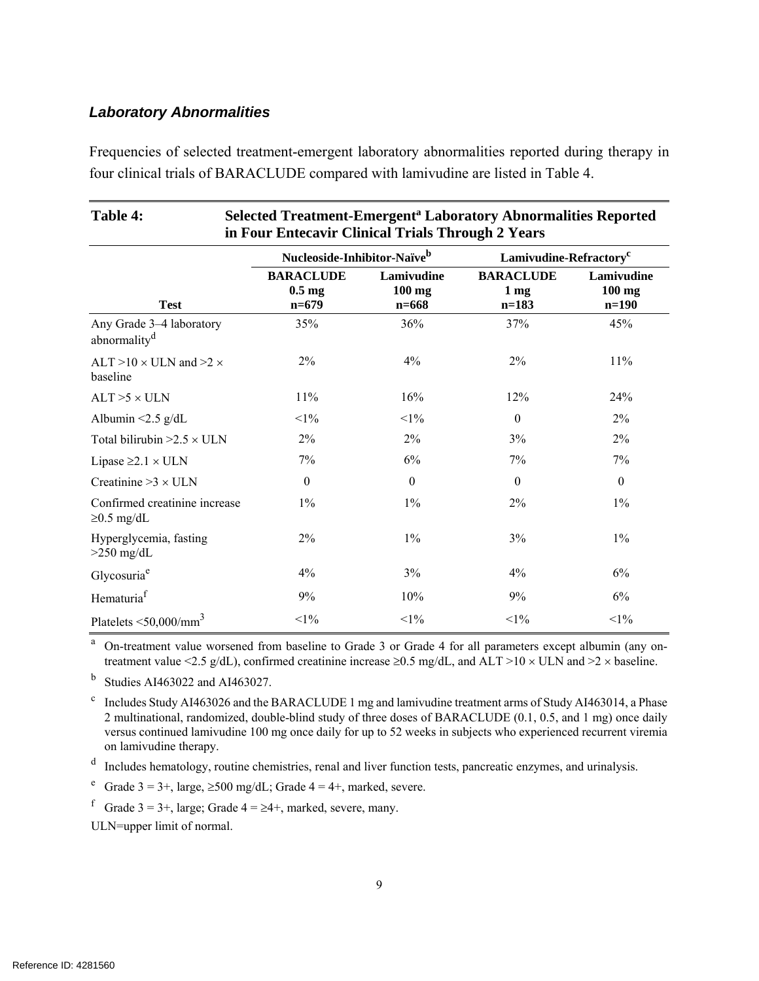### *Laboratory Abnormalities*

Frequencies of selected treatment-emergent laboratory abnormalities reported during therapy in four clinical trials of BARACLUDE compared with lamivudine are listed in Table 4.

| Table 4:                                             | <b>Selected Treatment-Emergent<sup>a</sup> Laboratory Abnormalities Reported</b><br>in Four Entecavir Clinical Trials Through 2 Years |                                     |                                                |                                   |
|------------------------------------------------------|---------------------------------------------------------------------------------------------------------------------------------------|-------------------------------------|------------------------------------------------|-----------------------------------|
|                                                      | Nucleoside-Inhibitor-Naïve <sup>b</sup>                                                                                               |                                     | Lamivudine-Refractory <sup>c</sup>             |                                   |
| <b>Test</b>                                          | <b>BARACLUDE</b><br>$0.5$ mg<br>$n=679$                                                                                               | Lamivudine<br>$100$ mg<br>$n = 668$ | <b>BARACLUDE</b><br>1 <sub>mg</sub><br>$n=183$ | Lamivudine<br>$100$ mg<br>$n=190$ |
| Any Grade 3-4 laboratory<br>abnormality <sup>d</sup> | 35%                                                                                                                                   | 36%                                 | 37%                                            | 45%                               |
| ALT $>10 \times$ ULN and $>2 \times$<br>baseline     | $2\%$                                                                                                                                 | 4%                                  | 2%                                             | 11%                               |
| $ALT > 5 \times ULN$                                 | 11%                                                                                                                                   | 16%                                 | 12%                                            | 24%                               |
| Albumin $\leq$ 2.5 g/dL                              | $<1\%$                                                                                                                                | $<1\%$                              | $\mathbf{0}$                                   | 2%                                |
| Total bilirubin $>2.5 \times$ ULN                    | 2%                                                                                                                                    | $2\%$                               | 3%                                             | 2%                                |
| Lipase $\geq 2.1 \times ULN$                         | 7%                                                                                                                                    | 6%                                  | 7%                                             | 7%                                |
| Creatinine $>3 \times$ ULN                           | $\theta$                                                                                                                              | $\theta$                            | $\theta$                                       | $\boldsymbol{0}$                  |
| Confirmed creatinine increase<br>$\geq$ 0.5 mg/dL    | $1\%$                                                                                                                                 | $1\%$                               | 2%                                             | $1\%$                             |
| Hyperglycemia, fasting<br>$>250$ mg/dL               | 2%                                                                                                                                    | $1\%$                               | 3%                                             | $1\%$                             |
| Glycosuria <sup>e</sup>                              | 4%                                                                                                                                    | 3%                                  | 4%                                             | 6%                                |
| Hematuria <sup>f</sup>                               | 9%                                                                                                                                    | 10%                                 | 9%                                             | 6%                                |
| Platelets $\leq 50,000/\text{mm}^3$                  | $<1\%$                                                                                                                                | $<1\%$                              | $<1\%$                                         | $<1\%$                            |

<sup>a</sup> On-treatment value worsened from baseline to Grade 3 or Grade 4 for all parameters except albumin (any ontreatment value <2.5 g/dL), confirmed creatinine increase  $\geq$ 0.5 mg/dL, and ALT >10  $\times$  ULN and >2  $\times$  baseline.

b Studies AI463022 and AI463027.

<sup>c</sup> Includes Study AI463026 and the BARACLUDE 1 mg and lamivudine treatment arms of Study AI463014, a Phase 2 multinational, randomized, double-blind study of three doses of BARACLUDE (0.1, 0.5, and 1 mg) once daily versus continued lamivudine 100 mg once daily for up to 52 weeks in subjects who experienced recurrent viremia on lamivudine therapy.

d Includes hematology, routine chemistries, renal and liver function tests, pancreatic enzymes, and urinalysis.

<sup>e</sup> Grade  $3 = 3+$ , large,  $\geq 500$  mg/dL; Grade  $4 = 4+$ , marked, severe.

f Grade  $3 = 3+$ , large; Grade  $4 = \geq 4+$ , marked, severe, many.

ULN=upper limit of normal.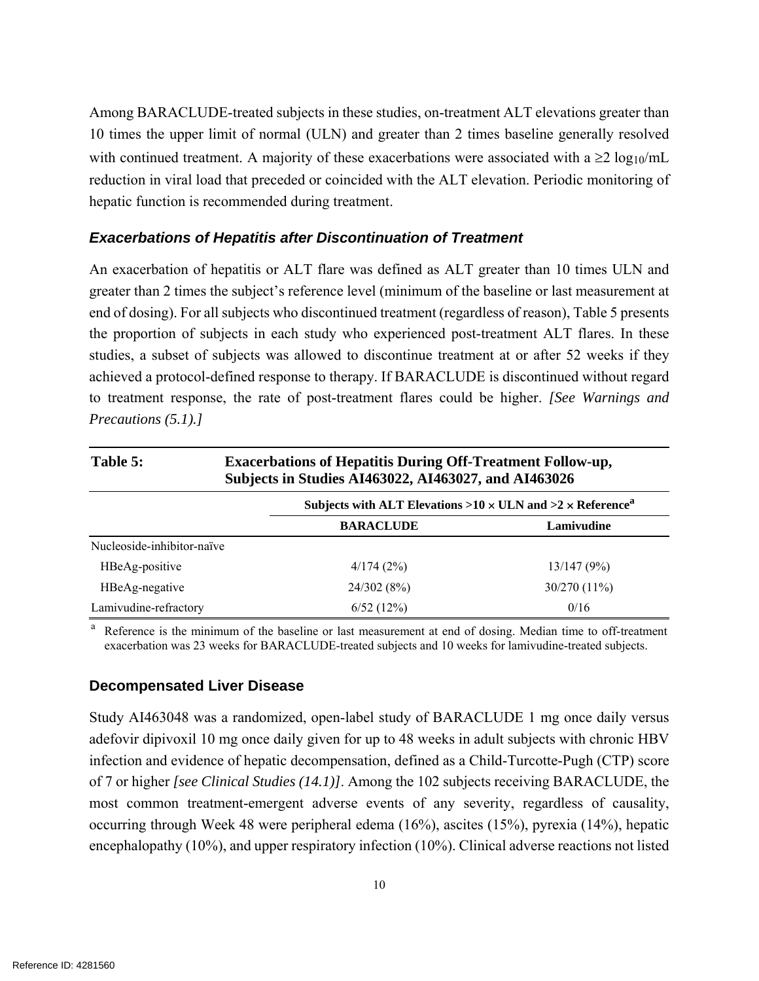Among BARACLUDE-treated subjects in these studies, on-treatment ALT elevations greater than 10 times the upper limit of normal (ULN) and greater than 2 times baseline generally resolved with continued treatment. A majority of these exacerbations were associated with a  $\geq 2 \log_{10}/mL$ reduction in viral load that preceded or coincided with the ALT elevation. Periodic monitoring of hepatic function is recommended during treatment.

#### *Exacerbations of Hepatitis after Discontinuation of Treatment*

An exacerbation of hepatitis or ALT flare was defined as ALT greater than 10 times ULN and greater than 2 times the subject's reference level (minimum of the baseline or last measurement at end of dosing). For all subjects who discontinued treatment (regardless of reason), Table 5 presents the proportion of subjects in each study who experienced post-treatment ALT flares. In these studies, a subset of subjects was allowed to discontinue treatment at or after 52 weeks if they achieved a protocol-defined response to therapy. If BARACLUDE is discontinued without regard to treatment response, the rate of post-treatment flares could be higher. *[See Warnings and Precautions (5.1).]*

| Table 5:                   | <b>Exacerbations of Hepatitis During Off-Treatment Follow-up,</b><br>Subjects in Studies AI463022, AI463027, and AI463026 |              |  |  |  |
|----------------------------|---------------------------------------------------------------------------------------------------------------------------|--------------|--|--|--|
|                            | Subjects with ALT Elevations >10 $\times$ ULN and >2 $\times$ Reference <sup>a</sup>                                      |              |  |  |  |
|                            | <b>BARACLUDE</b>                                                                                                          | Lamivudine   |  |  |  |
| Nucleoside-inhibitor-naïve |                                                                                                                           |              |  |  |  |
| HBeAg-positive             | 4/174(2%)                                                                                                                 | 13/147(9%)   |  |  |  |
| HBeAg-negative             | 24/302(8%)                                                                                                                | 30/270 (11%) |  |  |  |
| Lamivudine-refractory      | 6/52(12%)                                                                                                                 | 0/16         |  |  |  |

a Reference is the minimum of the baseline or last measurement at end of dosing. Median time to off-treatment exacerbation was 23 weeks for BARACLUDE-treated subjects and 10 weeks for lamivudine-treated subjects.

#### **Decompensated Liver Disease**

Study AI463048 was a randomized, open-label study of BARACLUDE 1 mg once daily versus adefovir dipivoxil 10 mg once daily given for up to 48 weeks in adult subjects with chronic HBV infection and evidence of hepatic decompensation, defined as a Child-Turcotte-Pugh (CTP) score of 7 or higher *[see Clinical Studies (14.1)]*. Among the 102 subjects receiving BARACLUDE, the most common treatment-emergent adverse events of any severity, regardless of causality, occurring through Week 48 were peripheral edema (16%), ascites (15%), pyrexia (14%), hepatic encephalopathy (10%), and upper respiratory infection (10%). Clinical adverse reactions not listed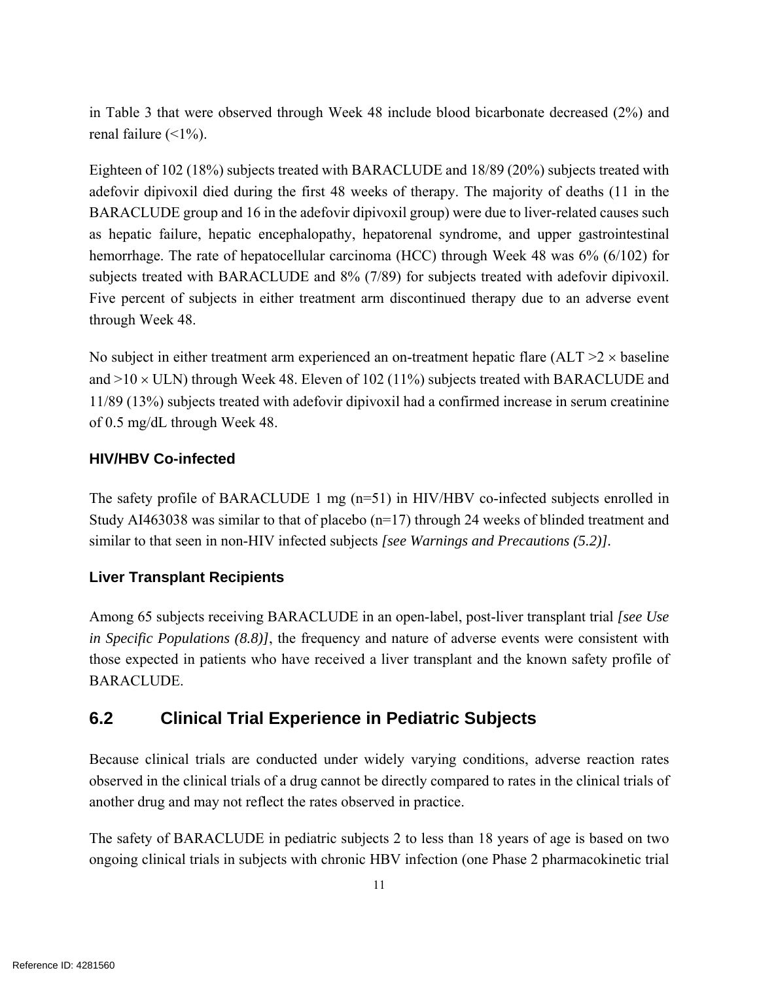in Table 3 that were observed through Week 48 include blood bicarbonate decreased (2%) and renal failure  $(\leq 1\%)$ .

Eighteen of 102 (18%) subjects treated with BARACLUDE and 18/89 (20%) subjects treated with adefovir dipivoxil died during the first 48 weeks of therapy. The majority of deaths (11 in the BARACLUDE group and 16 in the adefovir dipivoxil group) were due to liver-related causes such as hepatic failure, hepatic encephalopathy, hepatorenal syndrome, and upper gastrointestinal hemorrhage. The rate of hepatocellular carcinoma (HCC) through Week 48 was 6% (6/102) for subjects treated with BARACLUDE and 8% (7/89) for subjects treated with adefovir dipivoxil. Five percent of subjects in either treatment arm discontinued therapy due to an adverse event through Week 48.

No subject in either treatment arm experienced an on-treatment hepatic flare  $(ALT > 2 \times baseline$ and  $>10 \times$  ULN) through Week 48. Eleven of 102 (11%) subjects treated with BARACLUDE and 11/89 (13%) subjects treated with adefovir dipivoxil had a confirmed increase in serum creatinine of 0.5 mg/dL through Week 48.

## **HIV/HBV Co-infected**

The safety profile of BARACLUDE 1 mg (n=51) in HIV/HBV co-infected subjects enrolled in Study AI463038 was similar to that of placebo  $(n=17)$  through 24 weeks of blinded treatment and similar to that seen in non-HIV infected subjects *[see Warnings and Precautions (5.2)].*

### **Liver Transplant Recipients**

Among 65 subjects receiving BARACLUDE in an open-label, post-liver transplant trial *[see Use in Specific Populations (8.8)]*, the frequency and nature of adverse events were consistent with those expected in patients who have received a liver transplant and the known safety profile of BARACLUDE.

## **6.2 Clinical Trial Experience in Pediatric Subjects**

Because clinical trials are conducted under widely varying conditions, adverse reaction rates observed in the clinical trials of a drug cannot be directly compared to rates in the clinical trials of another drug and may not reflect the rates observed in practice.

The safety of BARACLUDE in pediatric subjects 2 to less than 18 years of age is based on two ongoing clinical trials in subjects with chronic HBV infection (one Phase 2 pharmacokinetic trial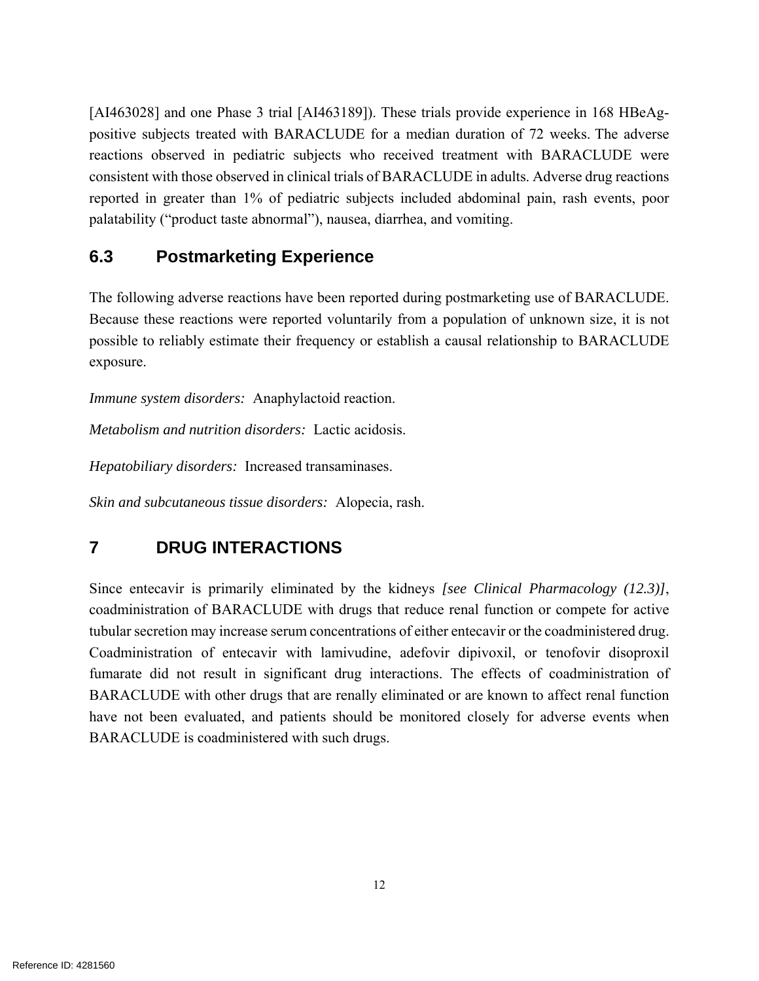[AI463028] and one Phase 3 trial [AI463189]). These trials provide experience in 168 HBeAgpositive subjects treated with BARACLUDE for a median duration of 72 weeks. The adverse reactions observed in pediatric subjects who received treatment with BARACLUDE were consistent with those observed in clinical trials of BARACLUDE in adults. Adverse drug reactions reported in greater than 1% of pediatric subjects included abdominal pain, rash events, poor palatability ("product taste abnormal"), nausea, diarrhea, and vomiting.

## **6.3 Postmarketing Experience**

The following adverse reactions have been reported during postmarketing use of BARACLUDE. Because these reactions were reported voluntarily from a population of unknown size, it is not possible to reliably estimate their frequency or establish a causal relationship to BARACLUDE exposure.

*Immune system disorders:* Anaphylactoid reaction.

*Metabolism and nutrition disorders:* Lactic acidosis.

*Hepatobiliary disorders:* Increased transaminases.

*Skin and subcutaneous tissue disorders:* Alopecia, rash.

## **7 DRUG INTERACTIONS**

Since entecavir is primarily eliminated by the kidneys *[see Clinical Pharmacology (12.3)]*, coadministration of BARACLUDE with drugs that reduce renal function or compete for active tubular secretion may increase serum concentrations of either entecavir or the coadministered drug. Coadministration of entecavir with lamivudine, adefovir dipivoxil, or tenofovir disoproxil fumarate did not result in significant drug interactions. The effects of coadministration of BARACLUDE with other drugs that are renally eliminated or are known to affect renal function have not been evaluated, and patients should be monitored closely for adverse events when BARACLUDE is coadministered with such drugs.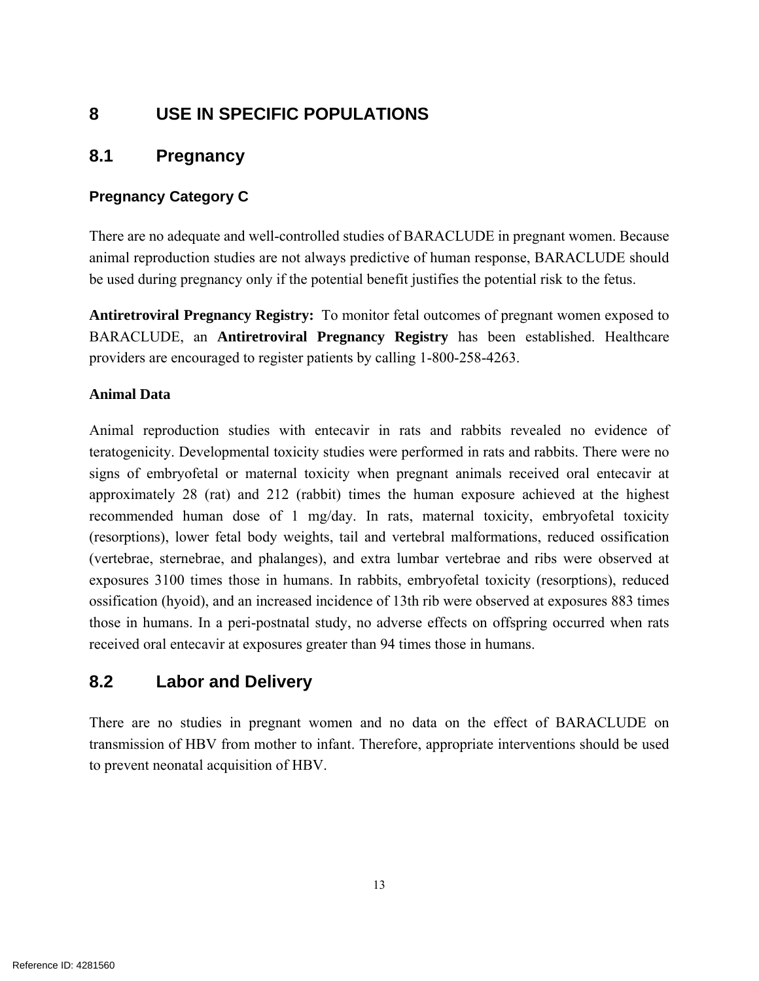## **8 USE IN SPECIFIC POPULATIONS**

## **8.1 Pregnancy**

### **Pregnancy Category C**

There are no adequate and well-controlled studies of BARACLUDE in pregnant women. Because animal reproduction studies are not always predictive of human response, BARACLUDE should be used during pregnancy only if the potential benefit justifies the potential risk to the fetus.

**Antiretroviral Pregnancy Registry:** To monitor fetal outcomes of pregnant women exposed to BARACLUDE, an **Antiretroviral Pregnancy Registry** has been established. Healthcare providers are encouraged to register patients by calling 1-800-258-4263.

#### **Animal Data**

Animal reproduction studies with entecavir in rats and rabbits revealed no evidence of teratogenicity. Developmental toxicity studies were performed in rats and rabbits. There were no signs of embryofetal or maternal toxicity when pregnant animals received oral entecavir at approximately 28 (rat) and 212 (rabbit) times the human exposure achieved at the highest recommended human dose of 1 mg/day. In rats, maternal toxicity, embryofetal toxicity (resorptions), lower fetal body weights, tail and vertebral malformations, reduced ossification (vertebrae, sternebrae, and phalanges), and extra lumbar vertebrae and ribs were observed at exposures 3100 times those in humans. In rabbits, embryofetal toxicity (resorptions), reduced ossification (hyoid), and an increased incidence of 13th rib were observed at exposures 883 times those in humans. In a peri-postnatal study, no adverse effects on offspring occurred when rats received oral entecavir at exposures greater than 94 times those in humans.

## **8.2 Labor and Delivery**

There are no studies in pregnant women and no data on the effect of BARACLUDE on transmission of HBV from mother to infant. Therefore, appropriate interventions should be used to prevent neonatal acquisition of HBV.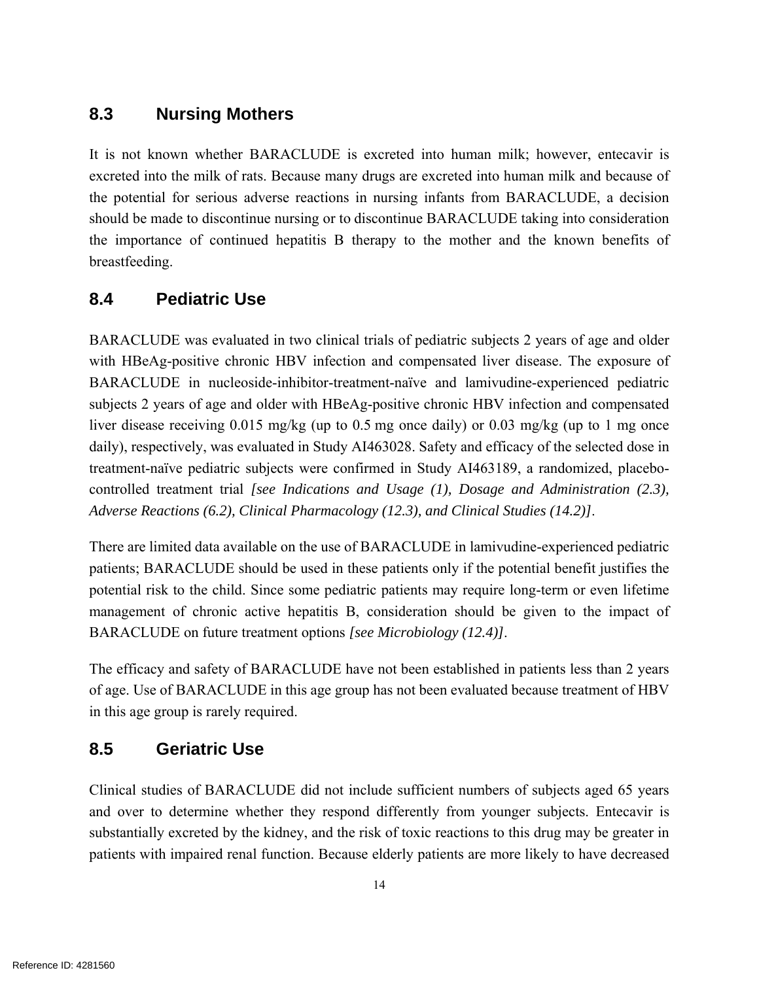## **8.3 Nursing Mothers**

It is not known whether BARACLUDE is excreted into human milk; however, entecavir is excreted into the milk of rats. Because many drugs are excreted into human milk and because of the potential for serious adverse reactions in nursing infants from BARACLUDE, a decision should be made to discontinue nursing or to discontinue BARACLUDE taking into consideration the importance of continued hepatitis B therapy to the mother and the known benefits of breastfeeding.

## **8.4 Pediatric Use**

BARACLUDE was evaluated in two clinical trials of pediatric subjects 2 years of age and older with HBeAg-positive chronic HBV infection and compensated liver disease. The exposure of BARACLUDE in nucleoside-inhibitor-treatment-naïve and lamivudine-experienced pediatric subjects 2 years of age and older with HBeAg-positive chronic HBV infection and compensated liver disease receiving 0.015 mg/kg (up to 0.5 mg once daily) or 0.03 mg/kg (up to 1 mg once daily), respectively, was evaluated in Study AI463028. Safety and efficacy of the selected dose in treatment-naïve pediatric subjects were confirmed in Study AI463189, a randomized, placebocontrolled treatment trial *[see Indications and Usage (1), Dosage and Administration (2.3), Adverse Reactions (6.2), Clinical Pharmacology (12.3), and Clinical Studies (14.2)]*.

There are limited data available on the use of BARACLUDE in lamivudine-experienced pediatric patients; BARACLUDE should be used in these patients only if the potential benefit justifies the potential risk to the child. Since some pediatric patients may require long-term or even lifetime management of chronic active hepatitis B, consideration should be given to the impact of BARACLUDE on future treatment options *[see Microbiology (12.4)]*.

The efficacy and safety of BARACLUDE have not been established in patients less than 2 years of age. Use of BARACLUDE in this age group has not been evaluated because treatment of HBV in this age group is rarely required.

## **8.5 Geriatric Use**

Clinical studies of BARACLUDE did not include sufficient numbers of subjects aged 65 years and over to determine whether they respond differently from younger subjects. Entecavir is substantially excreted by the kidney, and the risk of toxic reactions to this drug may be greater in patients with impaired renal function. Because elderly patients are more likely to have decreased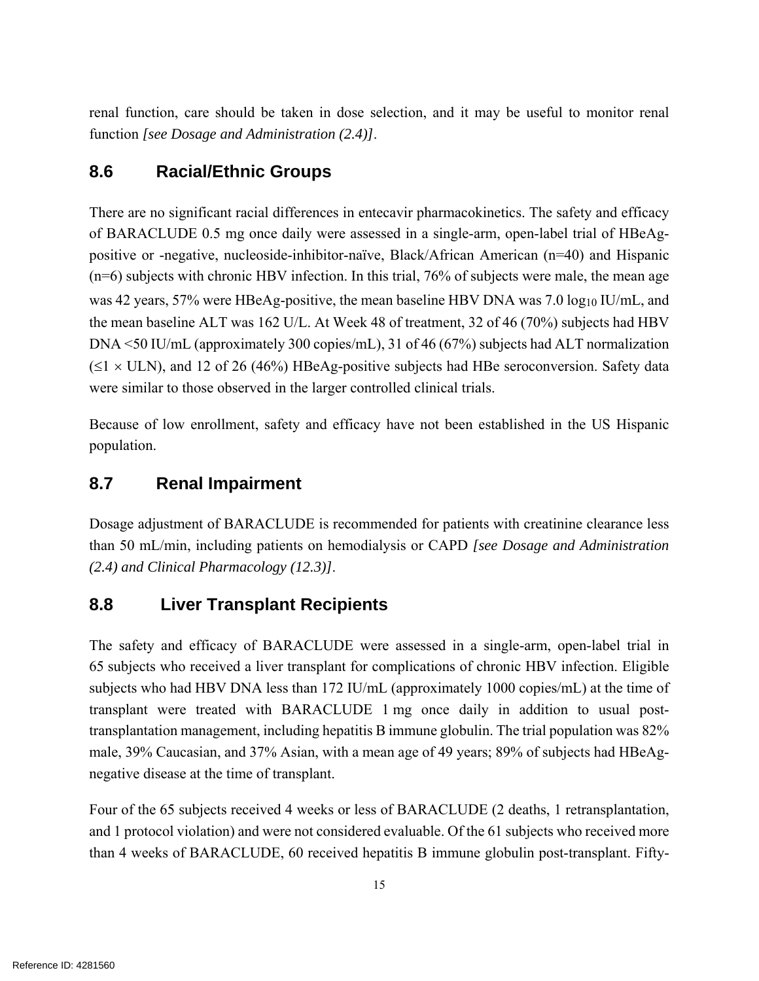renal function, care should be taken in dose selection, and it may be useful to monitor renal function *[see Dosage and Administration (2.4)]*.

## **8.6 Racial/Ethnic Groups**

There are no significant racial differences in entecavir pharmacokinetics. The safety and efficacy of BARACLUDE 0.5 mg once daily were assessed in a single-arm, open-label trial of HBeAgpositive or -negative, nucleoside-inhibitor-naïve, Black/African American (n=40) and Hispanic (n=6) subjects with chronic HBV infection. In this trial, 76% of subjects were male, the mean age was 42 years, 57% were HBeAg-positive, the mean baseline HBV DNA was 7.0 log<sub>10</sub> IU/mL, and the mean baseline ALT was 162 U/L. At Week 48 of treatment, 32 of 46 (70%) subjects had HBV DNA <50 IU/mL (approximately 300 copies/mL), 31 of 46 (67%) subjects had ALT normalization  $(\leq 1 \times \text{ULN})$ , and 12 of 26 (46%) HBeAg-positive subjects had HBe seroconversion. Safety data were similar to those observed in the larger controlled clinical trials.

Because of low enrollment, safety and efficacy have not been established in the US Hispanic population.

## **8.7 Renal Impairment**

Dosage adjustment of BARACLUDE is recommended for patients with creatinine clearance less than 50 mL/min, including patients on hemodialysis or CAPD *[see Dosage and Administration (2.4) and Clinical Pharmacology (12.3)]*.

## **8.8 Liver Transplant Recipients**

The safety and efficacy of BARACLUDE were assessed in a single-arm, open-label trial in 65 subjects who received a liver transplant for complications of chronic HBV infection. Eligible subjects who had HBV DNA less than 172 IU/mL (approximately 1000 copies/mL) at the time of transplant were treated with BARACLUDE 1 mg once daily in addition to usual posttransplantation management, including hepatitis B immune globulin. The trial population was 82% male, 39% Caucasian, and 37% Asian, with a mean age of 49 years; 89% of subjects had HBeAgnegative disease at the time of transplant.

Four of the 65 subjects received 4 weeks or less of BARACLUDE (2 deaths, 1 retransplantation, and 1 protocol violation) and were not considered evaluable. Of the 61 subjects who received more than 4 weeks of BARACLUDE, 60 received hepatitis B immune globulin post-transplant. Fifty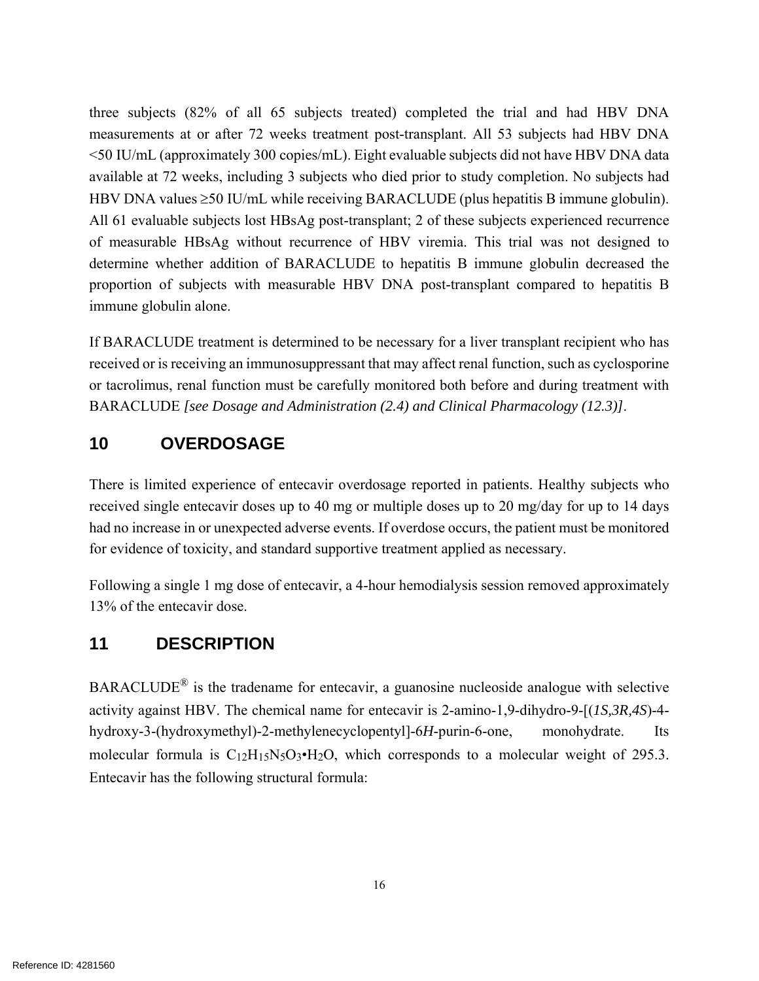three subjects (82% of all 65 subjects treated) completed the trial and had HBV DNA measurements at or after 72 weeks treatment post-transplant. All 53 subjects had HBV DNA <50 IU/mL (approximately 300 copies/mL). Eight evaluable subjects did not have HBV DNA data available at 72 weeks, including 3 subjects who died prior to study completion. No subjects had HBV DNA values  $\geq$ 50 IU/mL while receiving BARACLUDE (plus hepatitis B immune globulin). All 61 evaluable subjects lost HBsAg post-transplant; 2 of these subjects experienced recurrence of measurable HBsAg without recurrence of HBV viremia. This trial was not designed to determine whether addition of BARACLUDE to hepatitis B immune globulin decreased the proportion of subjects with measurable HBV DNA post-transplant compared to hepatitis B immune globulin alone.

If BARACLUDE treatment is determined to be necessary for a liver transplant recipient who has received or is receiving an immunosuppressant that may affect renal function, such as cyclosporine or tacrolimus, renal function must be carefully monitored both before and during treatment with BARACLUDE *[see Dosage and Administration (2.4) and Clinical Pharmacology (12.3)]*.

## **10 OVERDOSAGE**

There is limited experience of entecavir overdosage reported in patients. Healthy subjects who received single entecavir doses up to 40 mg or multiple doses up to 20 mg/day for up to 14 days had no increase in or unexpected adverse events. If overdose occurs, the patient must be monitored for evidence of toxicity, and standard supportive treatment applied as necessary.

Following a single 1 mg dose of entecavir, a 4-hour hemodialysis session removed approximately 13% of the entecavir dose.

## **11 DESCRIPTION**

BARACLUDE® is the tradename for entecavir, a guanosine nucleoside analogue with selective activity against HBV. The chemical name for entecavir is 2-amino-1,9-dihydro-9-[(*1S,3R,4S*)-4 hydroxy-3-(hydroxymethyl)-2-methylenecyclopentyl]-6*H*-purin-6-one, monohydrate. Its molecular formula is  $C_{12}H_{15}N_5O_3\bullet H_2O$ , which corresponds to a molecular weight of 295.3. Entecavir has the following structural formula: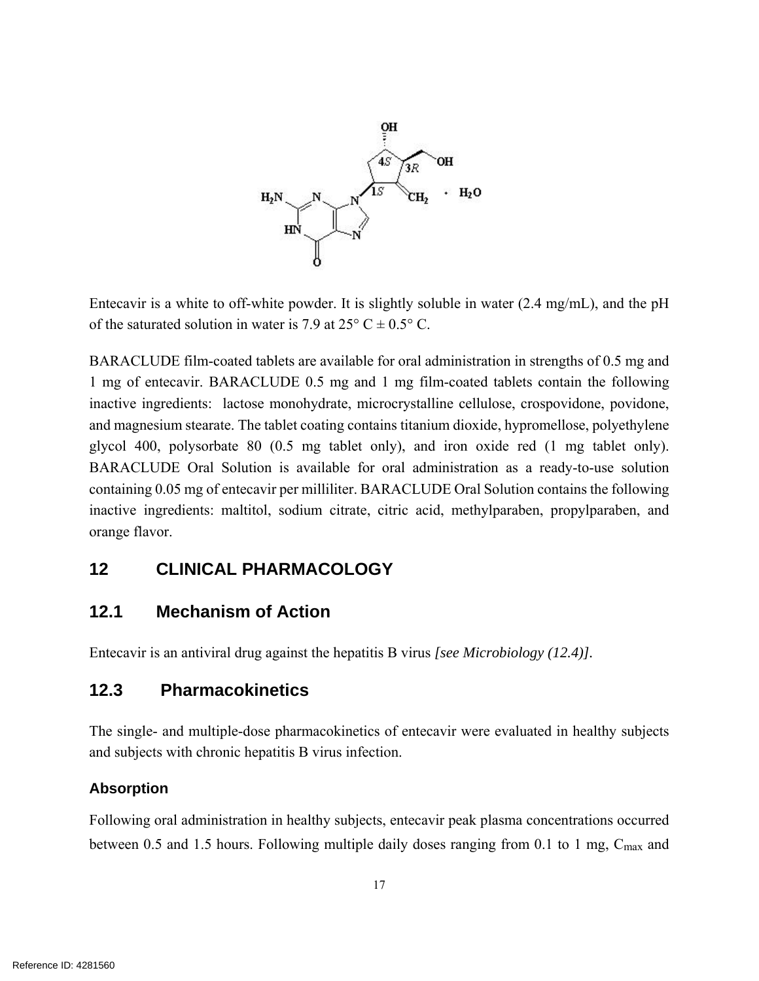

Entecavir is a white to off-white powder. It is slightly soluble in water (2.4 mg/mL), and the pH of the saturated solution in water is 7.9 at  $25^{\circ}$  C  $\pm$  0.5° C.

BARACLUDE film-coated tablets are available for oral administration in strengths of 0.5 mg and 1 mg of entecavir. BARACLUDE 0.5 mg and 1 mg film-coated tablets contain the following inactive ingredients: lactose monohydrate, microcrystalline cellulose, crospovidone, povidone, and magnesium stearate. The tablet coating contains titanium dioxide, hypromellose, polyethylene glycol 400, polysorbate 80 (0.5 mg tablet only), and iron oxide red (1 mg tablet only). BARACLUDE Oral Solution is available for oral administration as a ready-to-use solution containing 0.05 mg of entecavir per milliliter. BARACLUDE Oral Solution contains the following inactive ingredients: maltitol, sodium citrate, citric acid, methylparaben, propylparaben, and orange flavor.

### **12 CLINICAL PHARMACOLOGY**

### **12.1 Mechanism of Action**

Entecavir is an antiviral drug against the hepatitis B virus *[see Microbiology (12.4)].*

## **12.3 Pharmacokinetics**

The single- and multiple-dose pharmacokinetics of entecavir were evaluated in healthy subjects and subjects with chronic hepatitis B virus infection.

#### **Absorption**

Following oral administration in healthy subjects, entecavir peak plasma concentrations occurred between 0.5 and 1.5 hours. Following multiple daily doses ranging from 0.1 to 1 mg, Cmax and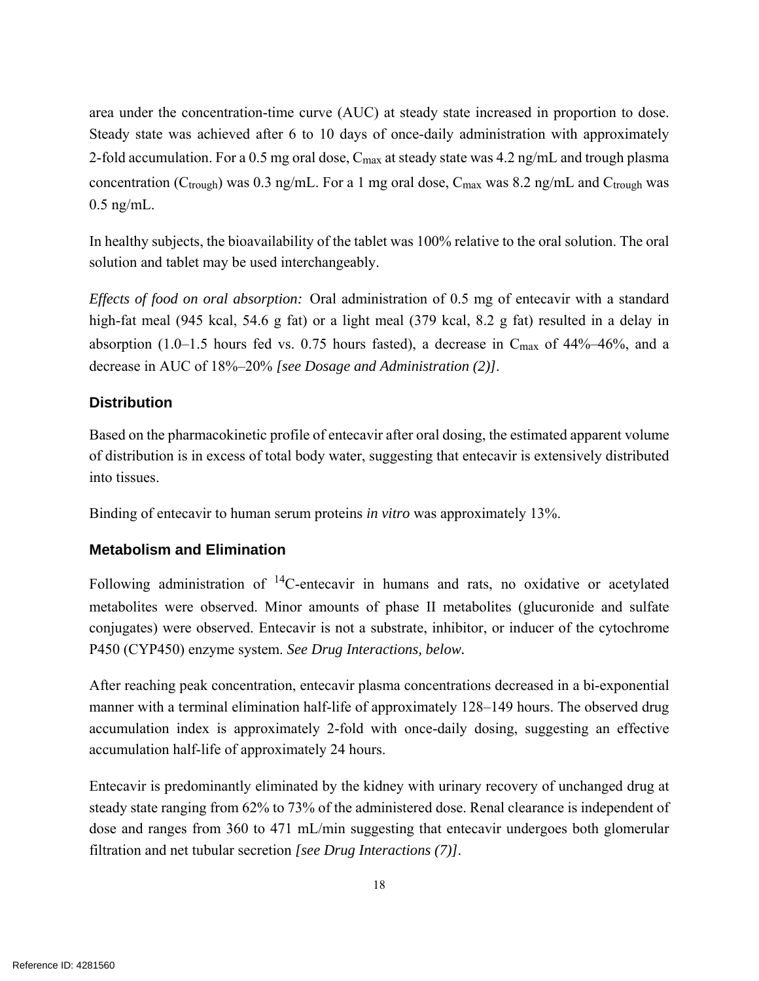area under the concentration-time curve (AUC) at steady state increased in proportion to dose. Steady state was achieved after 6 to 10 days of once-daily administration with approximately 2-fold accumulation. For a 0.5 mg oral dose, Cmax at steady state was 4.2 ng/mL and trough plasma concentration ( $C_{\text{trough}}$ ) was 0.3 ng/mL. For a 1 mg oral dose,  $C_{\text{max}}$  was 8.2 ng/mL and  $C_{\text{trough}}$  was 0.5 ng/mL.

In healthy subjects, the bioavailability of the tablet was 100% relative to the oral solution. The oral solution and tablet may be used interchangeably.

*Effects of food on oral absorption:* Oral administration of 0.5 mg of entecavir with a standard high-fat meal (945 kcal, 54.6 g fat) or a light meal (379 kcal, 8.2 g fat) resulted in a delay in absorption (1.0–1.5 hours fed vs. 0.75 hours fasted), a decrease in  $C_{\text{max}}$  of 44%–46%, and a decrease in AUC of 18%–20% *[see Dosage and Administration (2)]*.

## **Distribution**

Based on the pharmacokinetic profile of entecavir after oral dosing, the estimated apparent volume of distribution is in excess of total body water, suggesting that entecavir is extensively distributed into tissues.

Binding of entecavir to human serum proteins *in vitro* was approximately 13%.

### **Metabolism and Elimination**

Following administration of 14C-entecavir in humans and rats, no oxidative or acetylated metabolites were observed. Minor amounts of phase II metabolites (glucuronide and sulfate conjugates) were observed. Entecavir is not a substrate, inhibitor, or inducer of the cytochrome P450 (CYP450) enzyme system. *See Drug Interactions, below.*

After reaching peak concentration, entecavir plasma concentrations decreased in a bi-exponential manner with a terminal elimination half-life of approximately 128–149 hours. The observed drug accumulation index is approximately 2-fold with once-daily dosing, suggesting an effective accumulation half-life of approximately 24 hours.

Entecavir is predominantly eliminated by the kidney with urinary recovery of unchanged drug at steady state ranging from 62% to 73% of the administered dose. Renal clearance is independent of dose and ranges from 360 to 471 mL/min suggesting that entecavir undergoes both glomerular filtration and net tubular secretion *[see Drug Interactions (7)]*.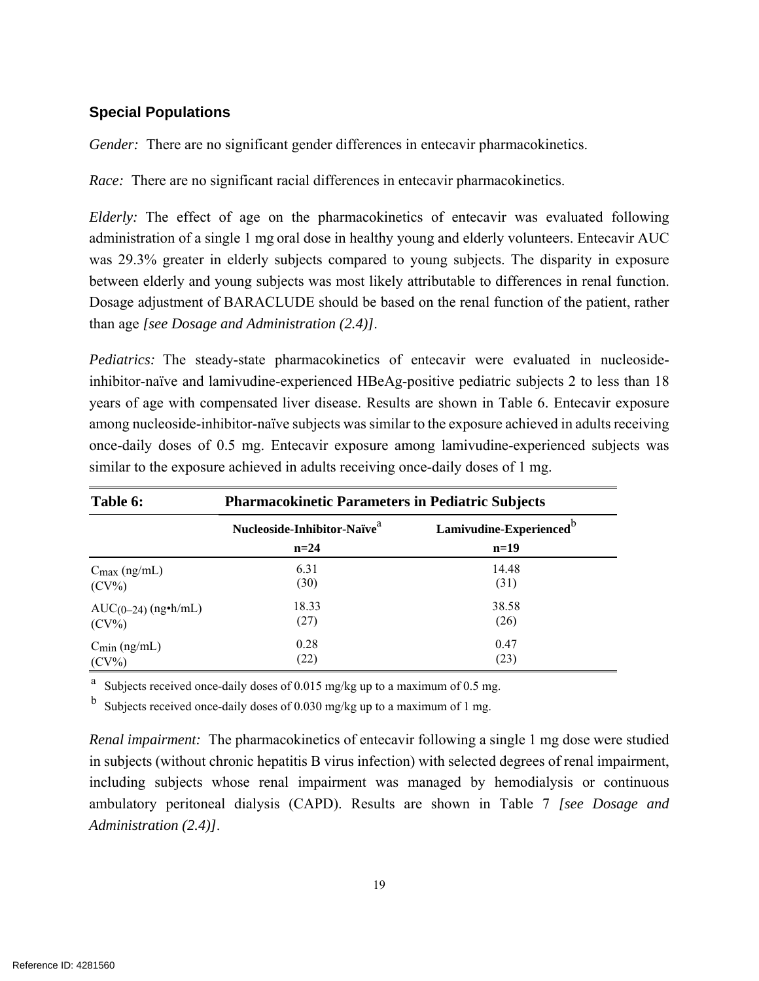#### **Special Populations**

*Gender:* There are no significant gender differences in entecavir pharmacokinetics.

*Race:* There are no significant racial differences in entecavir pharmacokinetics.

*Elderly:* The effect of age on the pharmacokinetics of entecavir was evaluated following administration of a single 1 mg oral dose in healthy young and elderly volunteers. Entecavir AUC was 29.3% greater in elderly subjects compared to young subjects. The disparity in exposure between elderly and young subjects was most likely attributable to differences in renal function. Dosage adjustment of BARACLUDE should be based on the renal function of the patient, rather than age *[see Dosage and Administration (2.4)]*.

*Pediatrics:* The steady-state pharmacokinetics of entecavir were evaluated in nucleosideinhibitor-naïve and lamivudine-experienced HBeAg-positive pediatric subjects 2 to less than 18 years of age with compensated liver disease. Results are shown in Table 6. Entecavir exposure among nucleoside-inhibitor-naïve subjects was similar to the exposure achieved in adults receiving once-daily doses of 0.5 mg. Entecavir exposure among lamivudine-experienced subjects was similar to the exposure achieved in adults receiving once-daily doses of 1 mg.

| Table 6:                 | <b>Pharmacokinetic Parameters in Pediatric Subjects</b> |                                               |  |  |
|--------------------------|---------------------------------------------------------|-----------------------------------------------|--|--|
|                          | Nucleoside-Inhibitor-Naïve <sup>a</sup><br>$n=24$       | Lamivudine-Experienced <sup>b</sup><br>$n=19$ |  |  |
| $C_{\text{max}}$ (ng/mL) | 6.31                                                    | 14.48                                         |  |  |
| $(CV\%)$                 | (30)                                                    | (31)                                          |  |  |
| $AUC(0-24)$ (ng•h/mL)    | 18.33                                                   | 38.58                                         |  |  |
| $(CV\%)$                 | (27)                                                    | (26)                                          |  |  |
| $C_{\text{min}}$ (ng/mL) | 0.28                                                    | 0.47                                          |  |  |
| $(CV\%)$                 | (22)                                                    | (23)                                          |  |  |

<sup>a</sup> Subjects received once-daily doses of 0.015 mg/kg up to a maximum of 0.5 mg.

<sup>b</sup> Subjects received once-daily doses of 0.030 mg/kg up to a maximum of 1 mg.

*Renal impairment:* The pharmacokinetics of entecavir following a single 1 mg dose were studied in subjects (without chronic hepatitis B virus infection) with selected degrees of renal impairment, including subjects whose renal impairment was managed by hemodialysis or continuous ambulatory peritoneal dialysis (CAPD). Results are shown in Table 7 *[see Dosage and Administration (2.4)]*.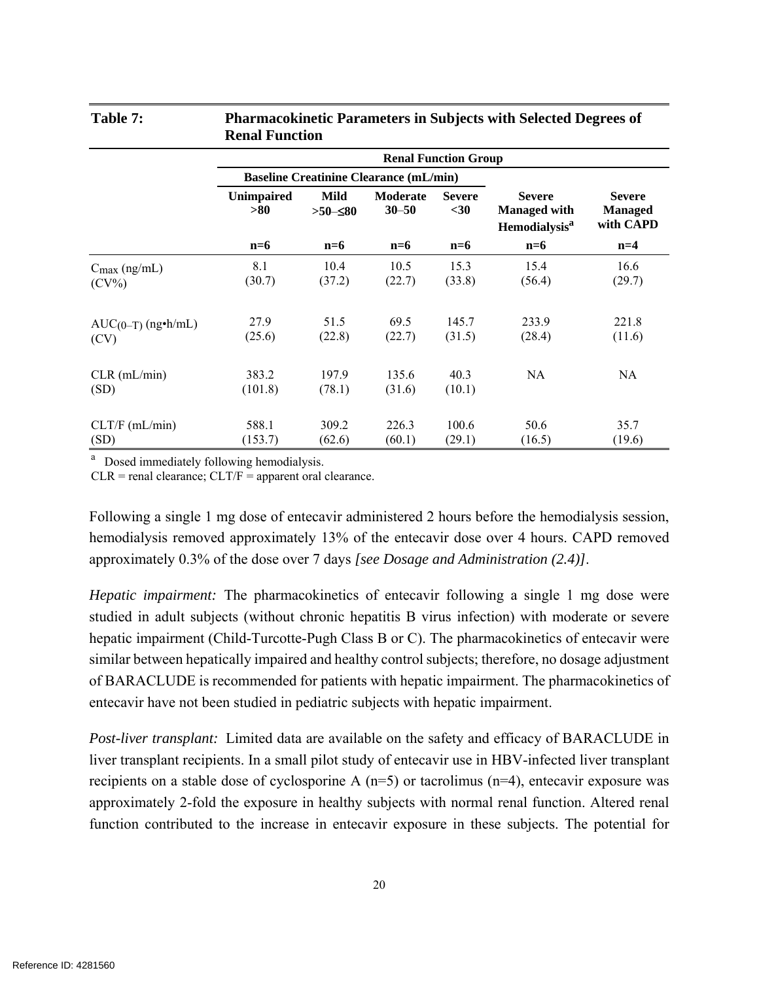#### **Table 7: Pharmacokinetic Parameters in Subjects with Selected Degrees of Renal Function**

|                                      | <b>Renal Function Group</b> |                         |                                               |                       |                                                                         |                                              |
|--------------------------------------|-----------------------------|-------------------------|-----------------------------------------------|-----------------------|-------------------------------------------------------------------------|----------------------------------------------|
|                                      |                             |                         | <b>Baseline Creatinine Clearance (mL/min)</b> |                       |                                                                         |                                              |
|                                      | Unimpaired<br>> 80          | Mild<br>$>50$ $\leq 80$ | <b>Moderate</b><br>$30 - 50$                  | <b>Severe</b><br>$30$ | <b>Severe</b><br><b>Managed with</b><br><b>Hemodialysis<sup>a</sup></b> | <b>Severe</b><br><b>Managed</b><br>with CAPD |
|                                      | $n=6$                       | $n=6$                   | $n=6$                                         | $n=6$                 | $n=6$                                                                   | $n=4$                                        |
| $C_{\text{max}}$ (ng/mL)<br>$(CV\%)$ | 8.1<br>(30.7)               | 10.4<br>(37.2)          | 10.5<br>(22.7)                                | 15.3<br>(33.8)        | 15.4<br>(56.4)                                                          | 16.6<br>(29.7)                               |
| $AUC(0-T)$ (ng•h/mL)<br>(CV)         | 27.9<br>(25.6)              | 51.5<br>(22.8)          | 69.5<br>(22.7)                                | 145.7<br>(31.5)       | 233.9<br>(28.4)                                                         | 221.8<br>(11.6)                              |
| $CLR$ (mL/min)<br>(SD)               | 383.2<br>(101.8)            | 197.9<br>(78.1)         | 135.6<br>(31.6)                               | 40.3<br>(10.1)        | NA                                                                      | NA                                           |
| CLT/F (mL/min)<br>(SD)               | 588.1<br>(153.7)            | 309.2<br>(62.6)         | 226.3<br>(60.1)                               | 100.6<br>(29.1)       | 50.6<br>(16.5)                                                          | 35.7<br>(19.6)                               |

<sup>a</sup> Dosed immediately following hemodialysis.

 $CLR$  = renal clearance;  $CLT/F$  = apparent oral clearance.

Following a single 1 mg dose of entecavir administered 2 hours before the hemodialysis session, hemodialysis removed approximately 13% of the entecavir dose over 4 hours. CAPD removed approximately 0.3% of the dose over 7 days *[see Dosage and Administration (2.4)]*.

*Hepatic impairment:* The pharmacokinetics of entecavir following a single 1 mg dose were studied in adult subjects (without chronic hepatitis B virus infection) with moderate or severe hepatic impairment (Child-Turcotte-Pugh Class B or C). The pharmacokinetics of entecavir were similar between hepatically impaired and healthy control subjects; therefore, no dosage adjustment of BARACLUDE is recommended for patients with hepatic impairment. The pharmacokinetics of entecavir have not been studied in pediatric subjects with hepatic impairment.

*Post-liver transplant:* Limited data are available on the safety and efficacy of BARACLUDE in liver transplant recipients. In a small pilot study of entecavir use in HBV-infected liver transplant recipients on a stable dose of cyclosporine A  $(n=5)$  or tacrolimus  $(n=4)$ , entecavir exposure was approximately 2-fold the exposure in healthy subjects with normal renal function. Altered renal function contributed to the increase in entecavir exposure in these subjects. The potential for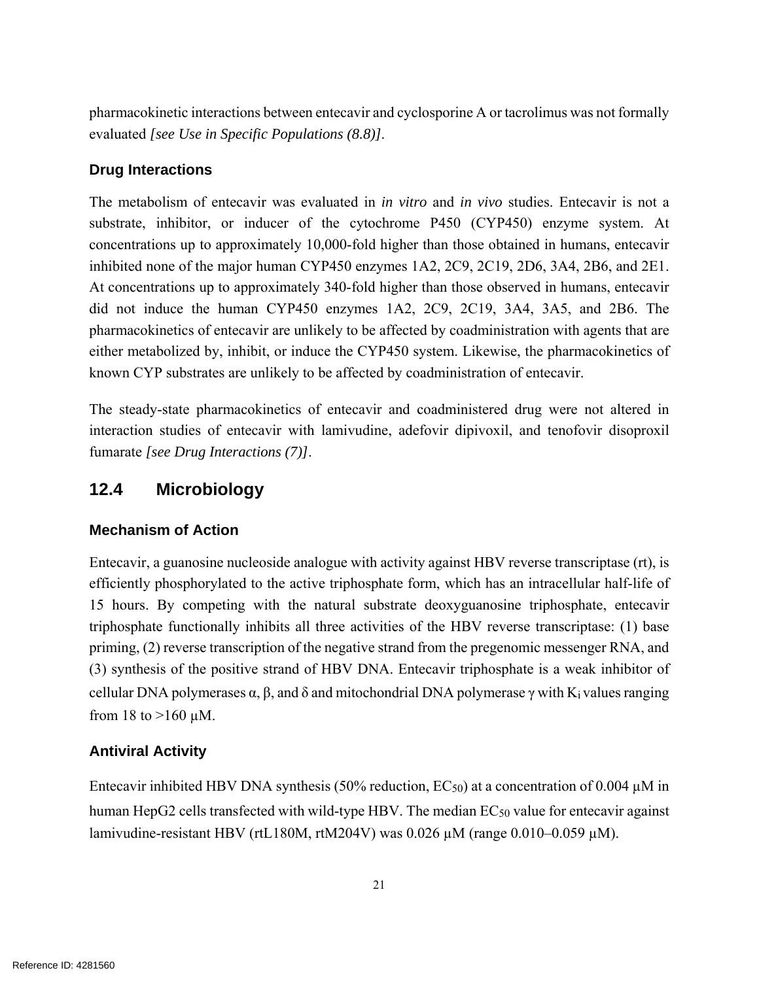pharmacokinetic interactions between entecavir and cyclosporine A or tacrolimus was not formally evaluated *[see Use in Specific Populations (8.8)]*.

### **Drug Interactions**

The metabolism of entecavir was evaluated in *in vitro* and *in vivo* studies. Entecavir is not a substrate, inhibitor, or inducer of the cytochrome P450 (CYP450) enzyme system. At concentrations up to approximately 10,000-fold higher than those obtained in humans, entecavir inhibited none of the major human CYP450 enzymes 1A2, 2C9, 2C19, 2D6, 3A4, 2B6, and 2E1. At concentrations up to approximately 340-fold higher than those observed in humans, entecavir did not induce the human CYP450 enzymes 1A2, 2C9, 2C19, 3A4, 3A5, and 2B6. The pharmacokinetics of entecavir are unlikely to be affected by coadministration with agents that are either metabolized by, inhibit, or induce the CYP450 system. Likewise, the pharmacokinetics of known CYP substrates are unlikely to be affected by coadministration of entecavir.

The steady-state pharmacokinetics of entecavir and coadministered drug were not altered in interaction studies of entecavir with lamivudine, adefovir dipivoxil, and tenofovir disoproxil fumarate *[see Drug Interactions (7)]*.

## **12.4 Microbiology**

### **Mechanism of Action**

Entecavir, a guanosine nucleoside analogue with activity against HBV reverse transcriptase (rt), is efficiently phosphorylated to the active triphosphate form, which has an intracellular half-life of 15 hours. By competing with the natural substrate deoxyguanosine triphosphate, entecavir triphosphate functionally inhibits all three activities of the HBV reverse transcriptase: (1) base priming, (2) reverse transcription of the negative strand from the pregenomic messenger RNA, and (3) synthesis of the positive strand of HBV DNA. Entecavir triphosphate is a weak inhibitor of cellular DNA polymerases  $\alpha$ ,  $\beta$ , and  $\delta$  and mitochondrial DNA polymerase  $\gamma$  with K<sub>i</sub> values ranging from 18 to  $>160$  µM.

## **Antiviral Activity**

Entecavir inhibited HBV DNA synthesis (50% reduction,  $EC_{50}$ ) at a concentration of 0.004  $\mu$ M in human HepG2 cells transfected with wild-type HBV. The median EC<sub>50</sub> value for entecavir against lamivudine-resistant HBV (rtL180M, rtM204V) was 0.026 µM (range 0.010–0.059 µM).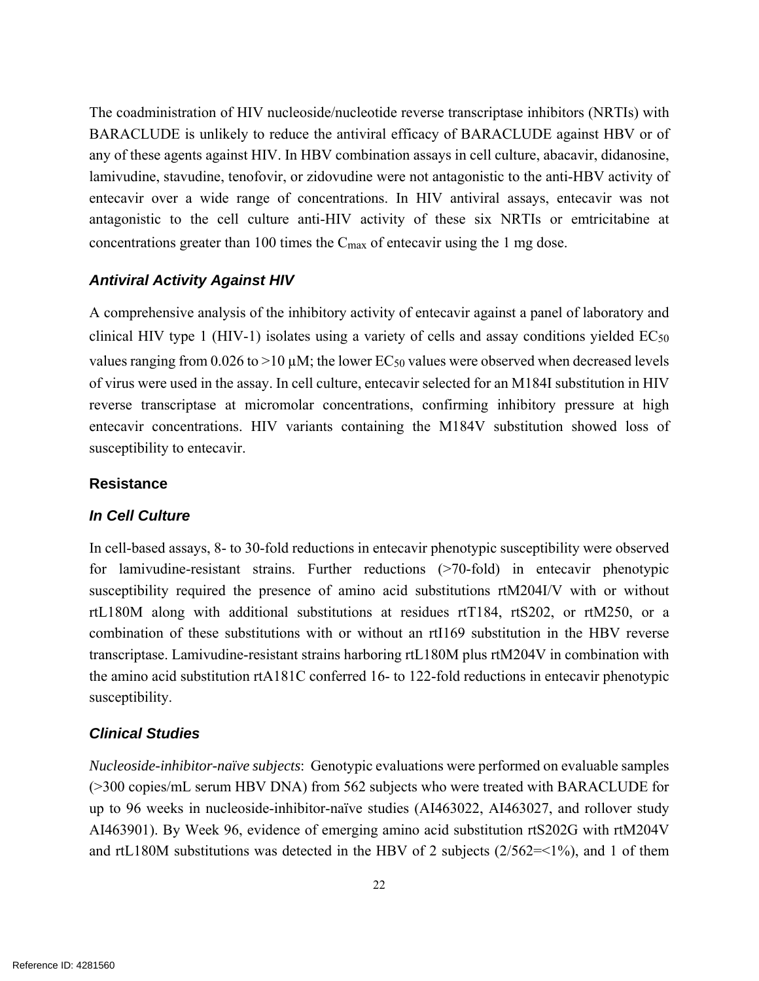The coadministration of HIV nucleoside/nucleotide reverse transcriptase inhibitors (NRTIs) with BARACLUDE is unlikely to reduce the antiviral efficacy of BARACLUDE against HBV or of any of these agents against HIV. In HBV combination assays in cell culture, abacavir, didanosine, lamivudine, stavudine, tenofovir, or zidovudine were not antagonistic to the anti-HBV activity of entecavir over a wide range of concentrations. In HIV antiviral assays, entecavir was not antagonistic to the cell culture anti-HIV activity of these six NRTIs or emtricitabine at concentrations greater than 100 times the Cmax of entecavir using the 1 mg dose.

#### *Antiviral Activity Against HIV*

A comprehensive analysis of the inhibitory activity of entecavir against a panel of laboratory and clinical HIV type 1 (HIV-1) isolates using a variety of cells and assay conditions yielded  $EC_{50}$ values ranging from  $0.026$  to  $>10 \mu$ M; the lower EC<sub>50</sub> values were observed when decreased levels of virus were used in the assay. In cell culture, entecavir selected for an M184I substitution in HIV reverse transcriptase at micromolar concentrations, confirming inhibitory pressure at high entecavir concentrations. HIV variants containing the M184V substitution showed loss of susceptibility to entecavir.

#### **Resistance**

#### *In Cell Culture*

In cell-based assays, 8- to 30-fold reductions in entecavir phenotypic susceptibility were observed for lamivudine-resistant strains. Further reductions (>70-fold) in entecavir phenotypic susceptibility required the presence of amino acid substitutions rtM204I/V with or without rtL180M along with additional substitutions at residues rtT184, rtS202, or rtM250, or a combination of these substitutions with or without an rtI169 substitution in the HBV reverse transcriptase. Lamivudine-resistant strains harboring rtL180M plus rtM204V in combination with the amino acid substitution rtA181C conferred 16- to 122-fold reductions in entecavir phenotypic susceptibility.

#### *Clinical Studies*

*Nucleoside-inhibitor-naïve subjects*: Genotypic evaluations were performed on evaluable samples (>300 copies/mL serum HBV DNA) from 562 subjects who were treated with BARACLUDE for up to 96 weeks in nucleoside-inhibitor-naïve studies (AI463022, AI463027, and rollover study AI463901). By Week 96, evidence of emerging amino acid substitution rtS202G with rtM204V and rtL180M substitutions was detected in the HBV of 2 subjects (2/562=<1%), and 1 of them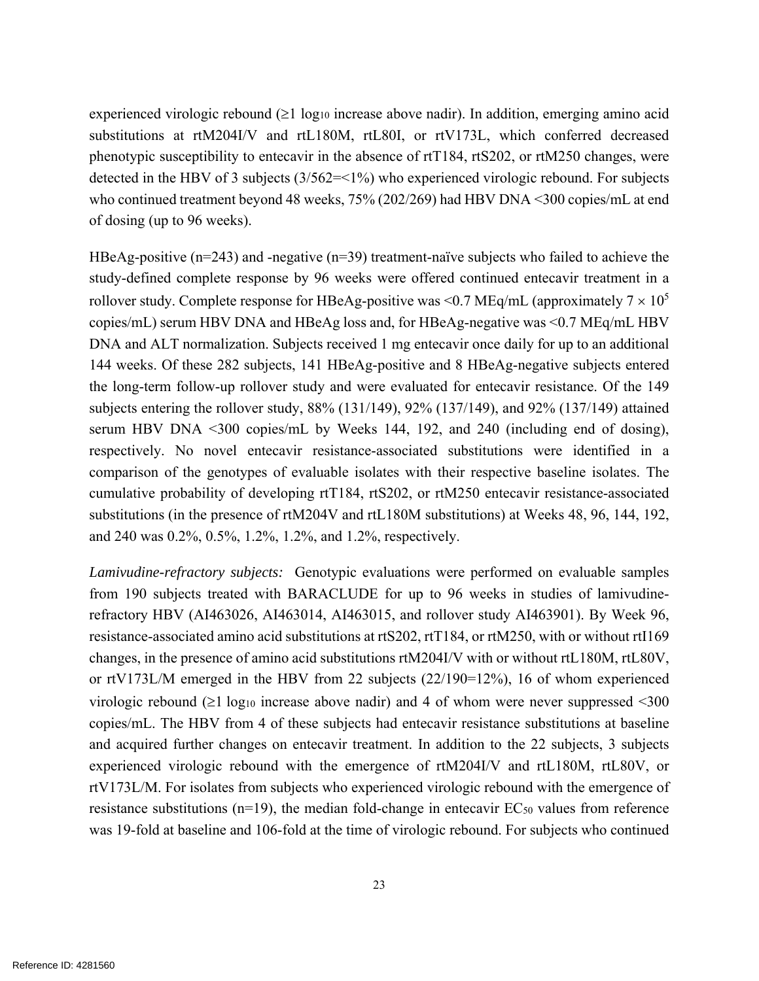experienced virologic rebound  $(21 \log_{10} \text{ increase above hadir})$ . In addition, emerging amino acid substitutions at rtM204I/V and rtL180M, rtL80I, or rtV173L, which conferred decreased phenotypic susceptibility to entecavir in the absence of rtT184, rtS202, or rtM250 changes, were detected in the HBV of 3 subjects (3/562=<1%) who experienced virologic rebound. For subjects who continued treatment beyond 48 weeks, 75% (202/269) had HBV DNA <300 copies/mL at end of dosing (up to 96 weeks).

HBeAg-positive ( $n=243$ ) and -negative ( $n=39$ ) treatment-naïve subjects who failed to achieve the study-defined complete response by 96 weeks were offered continued entecavir treatment in a rollover study. Complete response for HBeAg-positive was <0.7 MEq/mL (approximately  $7 \times 10^5$ ) copies/mL) serum HBV DNA and HBeAg loss and, for HBeAg-negative was <0.7 MEq/mL HBV DNA and ALT normalization. Subjects received 1 mg entecavir once daily for up to an additional 144 weeks. Of these 282 subjects, 141 HBeAg-positive and 8 HBeAg-negative subjects entered the long-term follow-up rollover study and were evaluated for entecavir resistance. Of the 149 subjects entering the rollover study, 88% (131/149), 92% (137/149), and 92% (137/149) attained serum HBV DNA <300 copies/mL by Weeks 144, 192, and 240 (including end of dosing), respectively. No novel entecavir resistance-associated substitutions were identified in a comparison of the genotypes of evaluable isolates with their respective baseline isolates. The cumulative probability of developing rtT184, rtS202, or rtM250 entecavir resistance-associated substitutions (in the presence of rtM204V and rtL180M substitutions) at Weeks 48, 96, 144, 192, and 240 was 0.2%, 0.5%, 1.2%, 1.2%, and 1.2%, respectively.

*Lamivudine-refractory subjects:* Genotypic evaluations were performed on evaluable samples from 190 subjects treated with BARACLUDE for up to 96 weeks in studies of lamivudinerefractory HBV (AI463026, AI463014, AI463015, and rollover study AI463901). By Week 96, resistance-associated amino acid substitutions at rtS202, rtT184, or rtM250, with or without rtI169 changes, in the presence of amino acid substitutions rtM204I/V with or without rtL180M, rtL80V, or rtV173L/M emerged in the HBV from 22 subjects (22/190=12%), 16 of whom experienced virologic rebound  $(\geq 1 \log_{10} 1)$  increase above nadir) and 4 of whom were never suppressed <300 copies/mL. The HBV from 4 of these subjects had entecavir resistance substitutions at baseline and acquired further changes on entecavir treatment. In addition to the 22 subjects, 3 subjects experienced virologic rebound with the emergence of rtM204I/V and rtL180M, rtL80V, or rtV173L/M. For isolates from subjects who experienced virologic rebound with the emergence of resistance substitutions ( $n=19$ ), the median fold-change in entecavir  $EC_{50}$  values from reference was 19-fold at baseline and 106-fold at the time of virologic rebound. For subjects who continued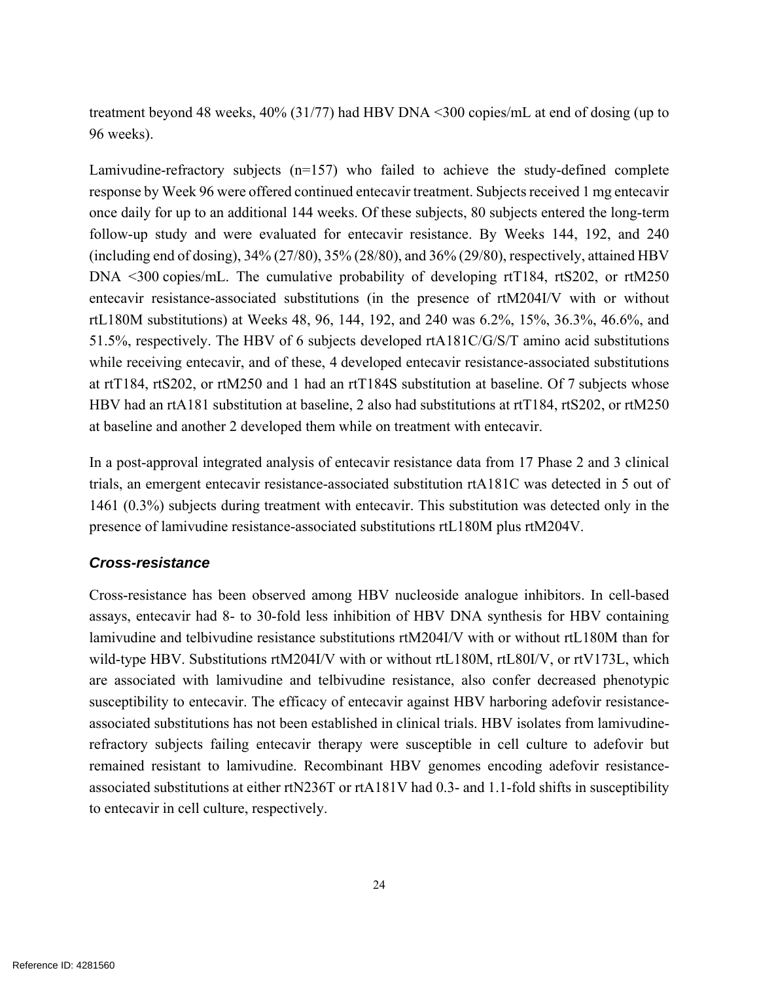treatment beyond 48 weeks, 40% (31/77) had HBV DNA <300 copies/mL at end of dosing (up to 96 weeks).

Lamivudine-refractory subjects (n=157) who failed to achieve the study-defined complete response by Week 96 were offered continued entecavir treatment. Subjects received 1 mg entecavir once daily for up to an additional 144 weeks. Of these subjects, 80 subjects entered the long-term follow-up study and were evaluated for entecavir resistance. By Weeks 144, 192, and 240 (including end of dosing), 34% (27/80), 35% (28/80), and 36% (29/80), respectively, attained HBV DNA <300 copies/mL. The cumulative probability of developing rtT184, rtS202, or rtM250 entecavir resistance-associated substitutions (in the presence of rtM204I/V with or without rtL180M substitutions) at Weeks 48, 96, 144, 192, and 240 was 6.2%, 15%, 36.3%, 46.6%, and 51.5%, respectively. The HBV of 6 subjects developed rtA181C/G/S/T amino acid substitutions while receiving entecavir, and of these, 4 developed entecavir resistance-associated substitutions at rtT184, rtS202, or rtM250 and 1 had an rtT184S substitution at baseline. Of 7 subjects whose HBV had an rtA181 substitution at baseline, 2 also had substitutions at rtT184, rtS202, or rtM250 at baseline and another 2 developed them while on treatment with entecavir.

In a post-approval integrated analysis of entecavir resistance data from 17 Phase 2 and 3 clinical trials, an emergent entecavir resistance-associated substitution rtA181C was detected in 5 out of 1461 (0.3%) subjects during treatment with entecavir. This substitution was detected only in the presence of lamivudine resistance-associated substitutions rtL180M plus rtM204V.

### *Cross-resistance*

Cross-resistance has been observed among HBV nucleoside analogue inhibitors. In cell-based assays, entecavir had 8- to 30-fold less inhibition of HBV DNA synthesis for HBV containing lamivudine and telbivudine resistance substitutions rtM204I/V with or without rtL180M than for wild-type HBV. Substitutions rtM204I/V with or without rtL180M, rtL80I/V, or rtV173L, which are associated with lamivudine and telbivudine resistance, also confer decreased phenotypic susceptibility to entecavir. The efficacy of entecavir against HBV harboring adefovir resistanceassociated substitutions has not been established in clinical trials. HBV isolates from lamivudinerefractory subjects failing entecavir therapy were susceptible in cell culture to adefovir but remained resistant to lamivudine. Recombinant HBV genomes encoding adefovir resistanceassociated substitutions at either rtN236T or rtA181V had 0.3- and 1.1-fold shifts in susceptibility to entecavir in cell culture, respectively.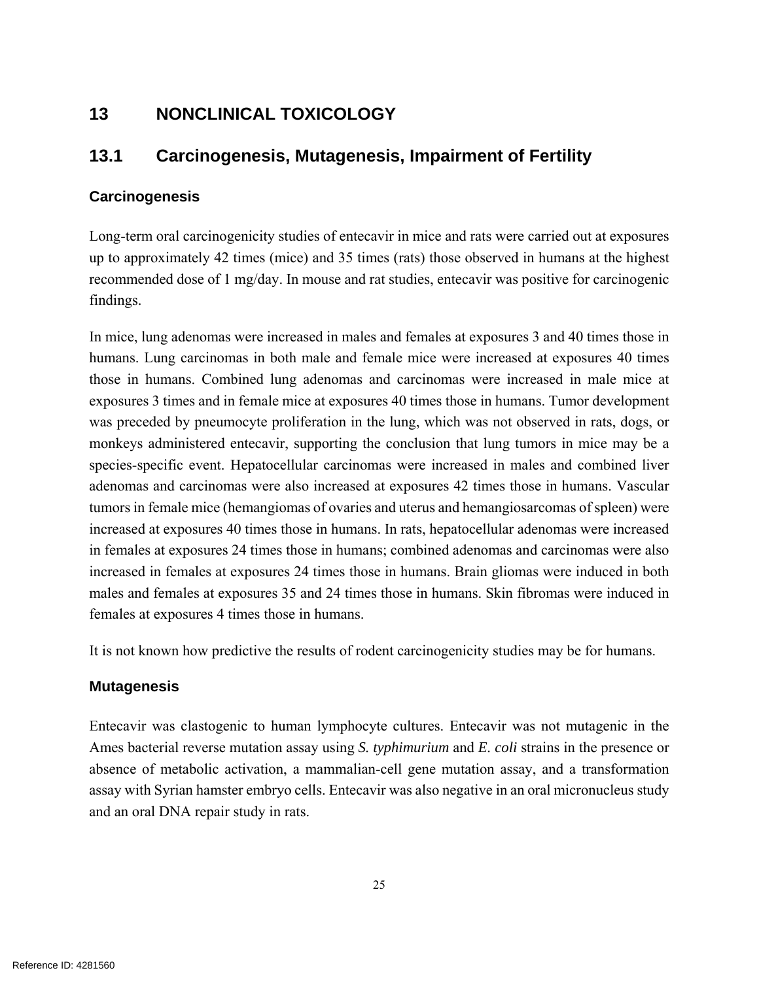## **13 NONCLINICAL TOXICOLOGY**

## **13.1 Carcinogenesis, Mutagenesis, Impairment of Fertility**

#### **Carcinogenesis**

Long-term oral carcinogenicity studies of entecavir in mice and rats were carried out at exposures up to approximately 42 times (mice) and 35 times (rats) those observed in humans at the highest recommended dose of 1 mg/day. In mouse and rat studies, entecavir was positive for carcinogenic findings.

In mice, lung adenomas were increased in males and females at exposures 3 and 40 times those in humans. Lung carcinomas in both male and female mice were increased at exposures 40 times those in humans. Combined lung adenomas and carcinomas were increased in male mice at exposures 3 times and in female mice at exposures 40 times those in humans. Tumor development was preceded by pneumocyte proliferation in the lung, which was not observed in rats, dogs, or monkeys administered entecavir, supporting the conclusion that lung tumors in mice may be a species-specific event. Hepatocellular carcinomas were increased in males and combined liver adenomas and carcinomas were also increased at exposures 42 times those in humans. Vascular tumors in female mice (hemangiomas of ovaries and uterus and hemangiosarcomas of spleen) were increased at exposures 40 times those in humans. In rats, hepatocellular adenomas were increased in females at exposures 24 times those in humans; combined adenomas and carcinomas were also increased in females at exposures 24 times those in humans. Brain gliomas were induced in both males and females at exposures 35 and 24 times those in humans. Skin fibromas were induced in females at exposures 4 times those in humans.

It is not known how predictive the results of rodent carcinogenicity studies may be for humans.

#### **Mutagenesis**

Entecavir was clastogenic to human lymphocyte cultures. Entecavir was not mutagenic in the Ames bacterial reverse mutation assay using *S. typhimurium* and *E. coli* strains in the presence or absence of metabolic activation, a mammalian-cell gene mutation assay, and a transformation assay with Syrian hamster embryo cells. Entecavir was also negative in an oral micronucleus study and an oral DNA repair study in rats.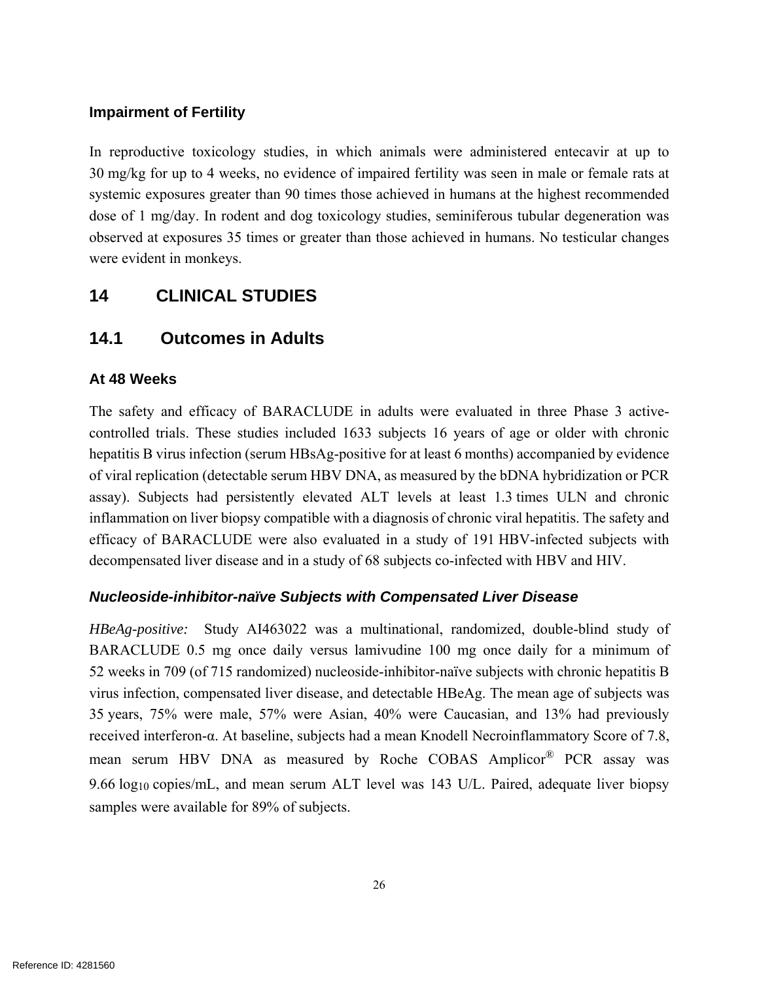#### **Impairment of Fertility**

In reproductive toxicology studies, in which animals were administered entecavir at up to 30 mg/kg for up to 4 weeks, no evidence of impaired fertility was seen in male or female rats at systemic exposures greater than 90 times those achieved in humans at the highest recommended dose of 1 mg/day. In rodent and dog toxicology studies, seminiferous tubular degeneration was observed at exposures 35 times or greater than those achieved in humans. No testicular changes were evident in monkeys.

## **14 CLINICAL STUDIES**

## **14.1 Outcomes in Adults**

#### **At 48 Weeks**

The safety and efficacy of BARACLUDE in adults were evaluated in three Phase 3 activecontrolled trials. These studies included 1633 subjects 16 years of age or older with chronic hepatitis B virus infection (serum HBsAg-positive for at least 6 months) accompanied by evidence of viral replication (detectable serum HBV DNA, as measured by the bDNA hybridization or PCR assay). Subjects had persistently elevated ALT levels at least 1.3 times ULN and chronic inflammation on liver biopsy compatible with a diagnosis of chronic viral hepatitis. The safety and efficacy of BARACLUDE were also evaluated in a study of 191 HBV-infected subjects with decompensated liver disease and in a study of 68 subjects co-infected with HBV and HIV.

#### *Nucleoside-inhibitor-naïve Subjects with Compensated Liver Disease*

*HBeAg-positive:* Study AI463022 was a multinational, randomized, double-blind study of BARACLUDE 0.5 mg once daily versus lamivudine 100 mg once daily for a minimum of 52 weeks in 709 (of 715 randomized) nucleoside-inhibitor-naïve subjects with chronic hepatitis B virus infection, compensated liver disease, and detectable HBeAg. The mean age of subjects was 35 years, 75% were male, 57% were Asian, 40% were Caucasian, and 13% had previously received interferon-α. At baseline, subjects had a mean Knodell Necroinflammatory Score of 7.8, mean serum HBV DNA as measured by Roche COBAS Amplicor® PCR assay was 9.66 log10 copies/mL, and mean serum ALT level was 143 U/L. Paired, adequate liver biopsy samples were available for 89% of subjects.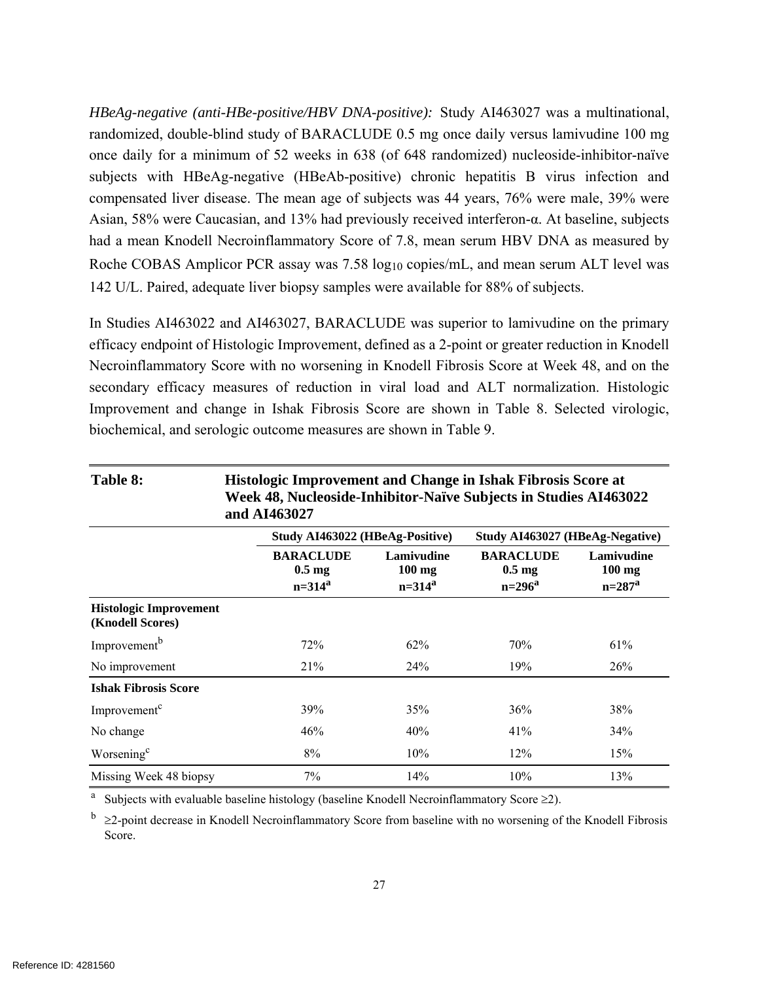*HBeAg-negative (anti-HBe-positive/HBV DNA-positive):* Study AI463027 was a multinational, randomized, double-blind study of BARACLUDE 0.5 mg once daily versus lamivudine 100 mg once daily for a minimum of 52 weeks in 638 (of 648 randomized) nucleoside-inhibitor-naïve subjects with HBeAg-negative (HBeAb-positive) chronic hepatitis B virus infection and compensated liver disease. The mean age of subjects was 44 years, 76% were male, 39% were Asian, 58% were Caucasian, and 13% had previously received interferon-α. At baseline, subjects had a mean Knodell Necroinflammatory Score of 7.8, mean serum HBV DNA as measured by Roche COBAS Amplicor PCR assay was 7.58 log<sub>10</sub> copies/mL, and mean serum ALT level was 142 U/L. Paired, adequate liver biopsy samples were available for 88% of subjects.

In Studies AI463022 and AI463027, BARACLUDE was superior to lamivudine on the primary efficacy endpoint of Histologic Improvement, defined as a 2-point or greater reduction in Knodell Necroinflammatory Score with no worsening in Knodell Fibrosis Score at Week 48, and on the secondary efficacy measures of reduction in viral load and ALT normalization. Histologic Improvement and change in Ishak Fibrosis Score are shown in Table 8. Selected virologic, biochemical, and serologic outcome measures are shown in Table 9.

| Table 8:                                          | Histologic Improvement and Change in Ishak Fibrosis Score at<br>Week 48, Nucleoside-Inhibitor-Naïve Subjects in Studies AI463022<br>and AI463027 |                                       |                                                     |                                       |  |  |
|---------------------------------------------------|--------------------------------------------------------------------------------------------------------------------------------------------------|---------------------------------------|-----------------------------------------------------|---------------------------------------|--|--|
|                                                   | Study AI463022 (HBeAg-Positive)                                                                                                                  |                                       | Study AI463027 (HBeAg-Negative)                     |                                       |  |  |
|                                                   | <b>BARACLUDE</b><br>$0.5 \text{ mg}$<br>$n = 314^a$                                                                                              | Lamivudine<br>$100$ mg<br>$n = 314^a$ | <b>BARACLUDE</b><br>$0.5 \text{ mg}$<br>$n = 296^a$ | Lamivudine<br>$100$ mg<br>$n = 287^a$ |  |  |
| <b>Histologic Improvement</b><br>(Knodell Scores) |                                                                                                                                                  |                                       |                                                     |                                       |  |  |
| Improvement <sup>b</sup>                          | 72%                                                                                                                                              | 62%                                   | 70%                                                 | 61%                                   |  |  |
| No improvement                                    | 21%                                                                                                                                              | 24%                                   | 19%                                                 | 26%                                   |  |  |
| <b>Ishak Fibrosis Score</b>                       |                                                                                                                                                  |                                       |                                                     |                                       |  |  |
| Improvement <sup>c</sup>                          | 39%                                                                                                                                              | 35%                                   | 36%                                                 | 38%                                   |  |  |
| No change                                         | 46%                                                                                                                                              | 40%                                   | 41%                                                 | 34%                                   |  |  |
| Worsening <sup>c</sup>                            | 8%                                                                                                                                               | 10%                                   | 12%                                                 | 15%                                   |  |  |
| Missing Week 48 biopsy                            | 7%                                                                                                                                               | 14%                                   | 10%                                                 | 13%                                   |  |  |

a Subjects with evaluable baseline histology (baseline Knodell Necroinflammatory Score  $\geq 2$ ).

 $\frac{b}{2}$   $\geq$  2-point decrease in Knodell Necroinflammatory Score from baseline with no worsening of the Knodell Fibrosis Score.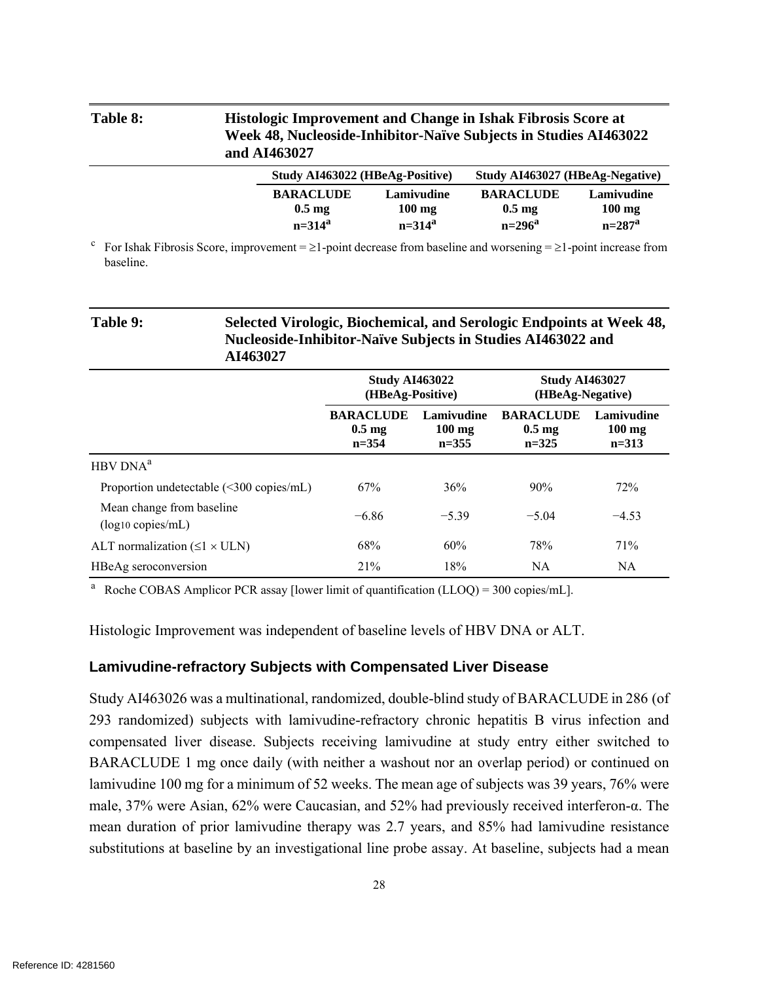| Table 8: | and AI463027                         | <b>Histologic Improvement and Change in Ishak Fibrosis Score at</b><br>Week 48, Nucleoside-Inhibitor-Naïve Subjects in Studies AI463022 |                                      |                                |  |
|----------|--------------------------------------|-----------------------------------------------------------------------------------------------------------------------------------------|--------------------------------------|--------------------------------|--|
|          | Study AI463022 (HBeAg-Positive)      |                                                                                                                                         | Study AI463027 (HBeAg-Negative)      |                                |  |
|          | <b>BARACLUDE</b><br>$0.5 \text{ mg}$ | Lamivudine<br>$100 \text{ mg}$                                                                                                          | <b>BARACLUDE</b><br>$0.5 \text{ mg}$ | Lamivudine<br>$100 \text{ mg}$ |  |
|          | $n = 314^a$                          | $n = 314^a$                                                                                                                             | $n = 296^a$                          | $n=287^a$                      |  |

<sup>c</sup> For Ishak Fibrosis Score, improvement =  $\geq$ 1-point decrease from baseline and worsening =  $\geq$ 1-point increase from baseline.

# **Table 9: Selected Virologic, Biochemical, and Serologic Endpoints at Week 48, Nucleoside-Inhibitor-Naïve Subjects in Studies AI463022 and AI463027**

|                                                     | <b>Study AI463022</b><br>(HBeAg-Positive)         |                                             | <b>Study AI463027</b><br>(HBeAg-Negative)       |                                           |
|-----------------------------------------------------|---------------------------------------------------|---------------------------------------------|-------------------------------------------------|-------------------------------------------|
|                                                     | <b>BARACLUDE</b><br>$0.5 \text{ mg}$<br>$n = 354$ | Lamivudine<br>$100 \text{ mg}$<br>$n = 355$ | <b>BARACLUDE</b><br>$0.5 \text{ mg}$<br>$n=325$ | Lamivudine<br>$100 \text{ mg}$<br>$n=313$ |
| HBV DNA <sup>a</sup>                                |                                                   |                                             |                                                 |                                           |
| Proportion undetectable (<300 copies/mL)            | 67%                                               | 36%                                         | 90%                                             | 72%                                       |
| Mean change from baseline<br>$(log_{10} copies/mL)$ | $-6.86$                                           | $-5.39$                                     | $-5.04$                                         | $-4.53$                                   |
| ALT normalization $(\leq 1 \times \text{ULN})$      | 68%                                               | 60%                                         | 78%                                             | 71%                                       |
| HBeAg seroconversion                                | 21%                                               | 18%                                         | NA                                              | <b>NA</b>                                 |

<sup>a</sup> Roche COBAS Amplicor PCR assay [lower limit of quantification (LLOQ) = 300 copies/mL].

Histologic Improvement was independent of baseline levels of HBV DNA or ALT.

#### **Lamivudine-refractory Subjects with Compensated Liver Disease**

Study AI463026 was a multinational, randomized, double-blind study of BARACLUDE in 286 (of 293 randomized) subjects with lamivudine-refractory chronic hepatitis B virus infection and compensated liver disease. Subjects receiving lamivudine at study entry either switched to BARACLUDE 1 mg once daily (with neither a washout nor an overlap period) or continued on lamivudine 100 mg for a minimum of 52 weeks. The mean age of subjects was 39 years, 76% were male, 37% were Asian, 62% were Caucasian, and 52% had previously received interferon-α. The mean duration of prior lamivudine therapy was 2.7 years, and 85% had lamivudine resistance substitutions at baseline by an investigational line probe assay. At baseline, subjects had a mean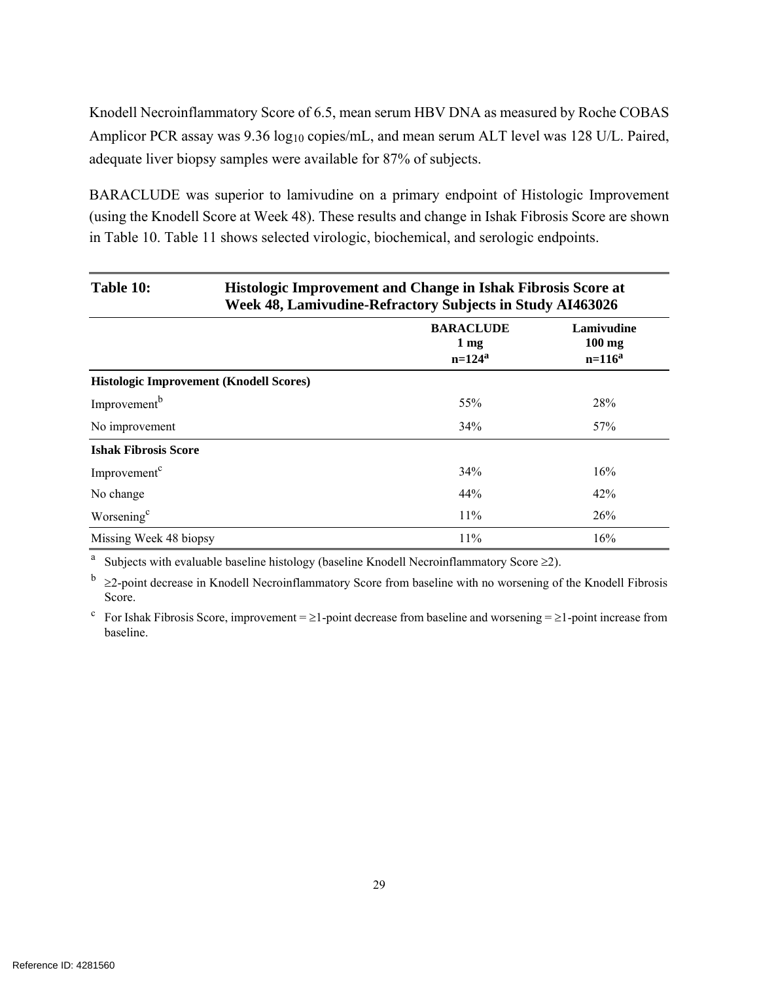Knodell Necroinflammatory Score of 6.5, mean serum HBV DNA as measured by Roche COBAS Amplicor PCR assay was 9.36 log10 copies/mL, and mean serum ALT level was 128 U/L. Paired, adequate liver biopsy samples were available for 87% of subjects.

BARACLUDE was superior to lamivudine on a primary endpoint of Histologic Improvement (using the Knodell Score at Week 48). These results and change in Ishak Fibrosis Score are shown in Table 10. Table 11 shows selected virologic, biochemical, and serologic endpoints.

| Table 10:                   | Histologic Improvement and Change in Ishak Fibrosis Score at<br>Week 48, Lamivudine-Refractory Subjects in Study AI463026 |                                                    |                                       |  |  |
|-----------------------------|---------------------------------------------------------------------------------------------------------------------------|----------------------------------------------------|---------------------------------------|--|--|
|                             |                                                                                                                           | <b>BARACLUDE</b><br>$1 \,\mathrm{mg}$<br>$n=124^a$ | Lamivudine<br>$100$ mg<br>$n = 116^a$ |  |  |
|                             | <b>Histologic Improvement (Knodell Scores)</b>                                                                            |                                                    |                                       |  |  |
| Improvement <sup>b</sup>    |                                                                                                                           | 55%                                                | 28%                                   |  |  |
| No improvement              |                                                                                                                           | 34%                                                | 57%                                   |  |  |
| <b>Ishak Fibrosis Score</b> |                                                                                                                           |                                                    |                                       |  |  |
| Improvement <sup>c</sup>    |                                                                                                                           | 34%                                                | 16%                                   |  |  |
| No change                   |                                                                                                                           | 44%                                                | 42%                                   |  |  |
| Worsening <sup>c</sup>      |                                                                                                                           | 11%                                                | 26%                                   |  |  |
| Missing Week 48 biopsy      |                                                                                                                           | 11%                                                | 16%                                   |  |  |

a Subjects with evaluable baseline histology (baseline Knodell Necroinflammatory Score 2).

 $\frac{b}{2}$   $\geq$ 2-point decrease in Knodell Necroinflammatory Score from baseline with no worsening of the Knodell Fibrosis Score.

<sup>c</sup> For Ishak Fibrosis Score, improvement =  $\geq$ 1-point decrease from baseline and worsening =  $\geq$ 1-point increase from baseline.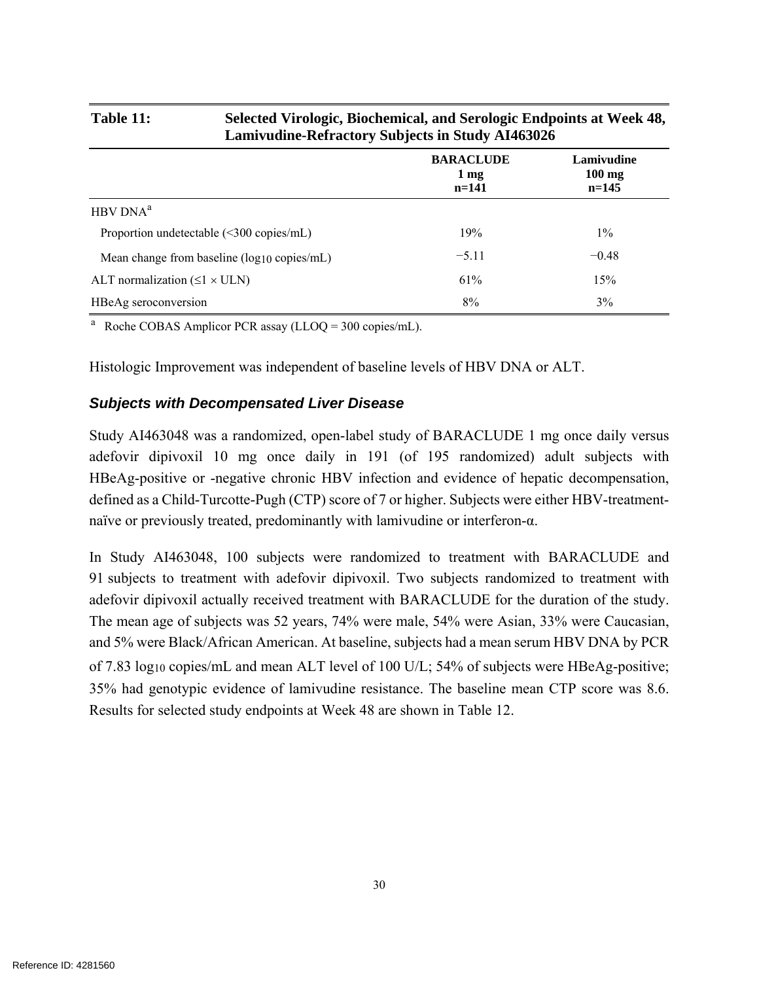| Lamivudine-Refractory Subjects in Study AI463026       |                                               |                                   |  |  |
|--------------------------------------------------------|-----------------------------------------------|-----------------------------------|--|--|
|                                                        | <b>BARACLUDE</b><br>$1 \text{ mg}$<br>$n=141$ | Lamivudine<br>$100$ mg<br>$n=145$ |  |  |
| HBV DNA <sup>a</sup>                                   |                                               |                                   |  |  |
| Proportion undetectable $(\leq 300 \text{ copies/mL})$ | 19%                                           | $1\%$                             |  |  |
| Mean change from baseline $(log_{10}$ copies/mL)       | $-5.11$                                       | $-0.48$                           |  |  |
| ALT normalization $(\leq 1 \times \text{ULN})$         | 61%                                           | 15%                               |  |  |
| HBeAg seroconversion                                   | 8%                                            | 3%                                |  |  |

**Table 11: Selected Virologic, Biochemical, and Serologic Endpoints at Week 48,** 

<sup>a</sup> Roche COBAS Amplicor PCR assay (LLOQ = 300 copies/mL).

Histologic Improvement was independent of baseline levels of HBV DNA or ALT.

### *Subjects with Decompensated Liver Disease*

Study AI463048 was a randomized, open-label study of BARACLUDE 1 mg once daily versus adefovir dipivoxil 10 mg once daily in 191 (of 195 randomized) adult subjects with HBeAg-positive or -negative chronic HBV infection and evidence of hepatic decompensation, defined as a Child-Turcotte-Pugh (CTP) score of 7 or higher. Subjects were either HBV-treatmentnaïve or previously treated, predominantly with lamivudine or interferon-α.

In Study AI463048, 100 subjects were randomized to treatment with BARACLUDE and 91 subjects to treatment with adefovir dipivoxil. Two subjects randomized to treatment with adefovir dipivoxil actually received treatment with BARACLUDE for the duration of the study. The mean age of subjects was 52 years, 74% were male, 54% were Asian, 33% were Caucasian, and 5% were Black/African American. At baseline, subjects had a mean serum HBV DNA by PCR of 7.83 log10 copies/mL and mean ALT level of 100 U/L; 54% of subjects were HBeAg-positive; 35% had genotypic evidence of lamivudine resistance. The baseline mean CTP score was 8.6. Results for selected study endpoints at Week 48 are shown in Table 12.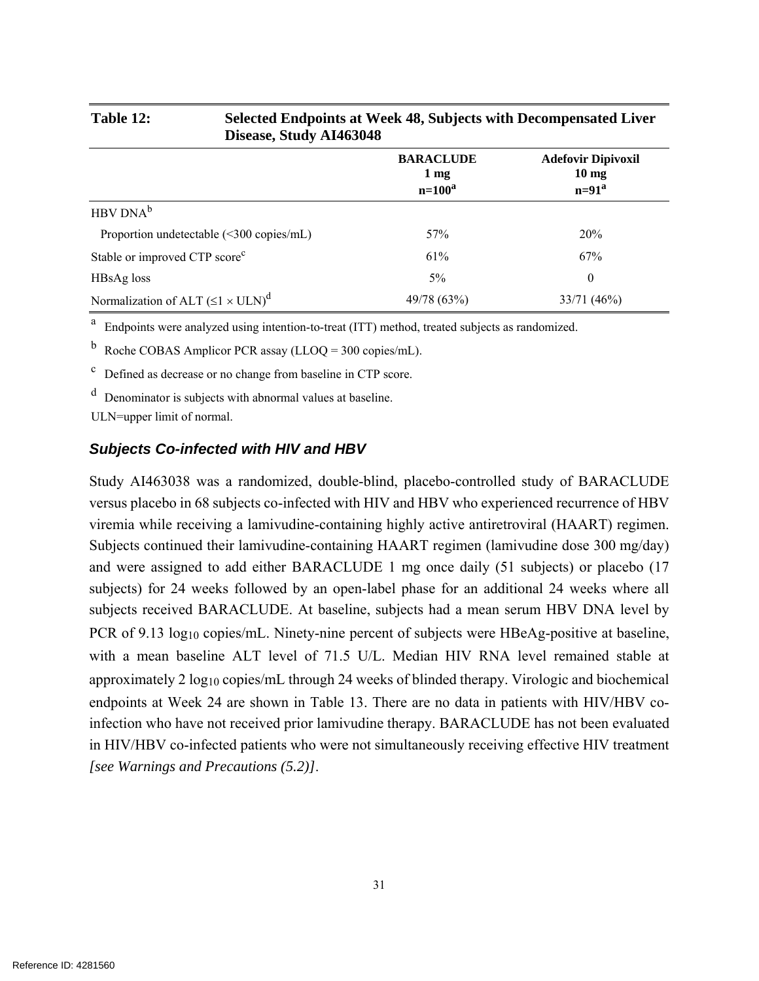| 240                                                    |                                                    |                                                           |
|--------------------------------------------------------|----------------------------------------------------|-----------------------------------------------------------|
|                                                        | <b>BARACLUDE</b><br>$1 \,\mathrm{mg}$<br>$n=100^a$ | <b>Adefovir Dipivoxil</b><br>10 <sub>mg</sub><br>$n=91^a$ |
| $HBV DNA^b$                                            |                                                    |                                                           |
| Proportion undetectable $(\leq 300 \text{ copies/mL})$ | 57%                                                | 20%                                                       |
| Stable or improved CTP score <sup>c</sup>              | 61%                                                | 67%                                                       |
| HBsAg loss                                             | $5\%$                                              | $\theta$                                                  |
| Normalization of ALT $(\leq l \times ULN)^d$           | 49/78 (63%)                                        | 33/71 (46%)                                               |

#### **Table 12: Selected Endpoints at Week 48, Subjects with Decompensated Liver Disease, Study AI463048**

<sup>a</sup> Endpoints were analyzed using intention-to-treat (ITT) method, treated subjects as randomized.

Roche COBAS Amplicor PCR assay (LLOQ =  $300$  copies/mL).

c Defined as decrease or no change from baseline in CTP score.

d Denominator is subjects with abnormal values at baseline.

ULN=upper limit of normal.

#### *Subjects Co-infected with HIV and HBV*

Study AI463038 was a randomized, double-blind, placebo-controlled study of BARACLUDE versus placebo in 68 subjects co-infected with HIV and HBV who experienced recurrence of HBV viremia while receiving a lamivudine-containing highly active antiretroviral (HAART) regimen. Subjects continued their lamivudine-containing HAART regimen (lamivudine dose 300 mg/day) and were assigned to add either BARACLUDE 1 mg once daily (51 subjects) or placebo (17 subjects) for 24 weeks followed by an open-label phase for an additional 24 weeks where all subjects received BARACLUDE. At baseline, subjects had a mean serum HBV DNA level by PCR of 9.13 log<sub>10</sub> copies/mL. Ninety-nine percent of subjects were HBeAg-positive at baseline, with a mean baseline ALT level of 71.5 U/L. Median HIV RNA level remained stable at approximately 2 log10 copies/mL through 24 weeks of blinded therapy. Virologic and biochemical endpoints at Week 24 are shown in Table 13. There are no data in patients with HIV/HBV coinfection who have not received prior lamivudine therapy. BARACLUDE has not been evaluated in HIV/HBV co-infected patients who were not simultaneously receiving effective HIV treatment *[see Warnings and Precautions (5.2)]*.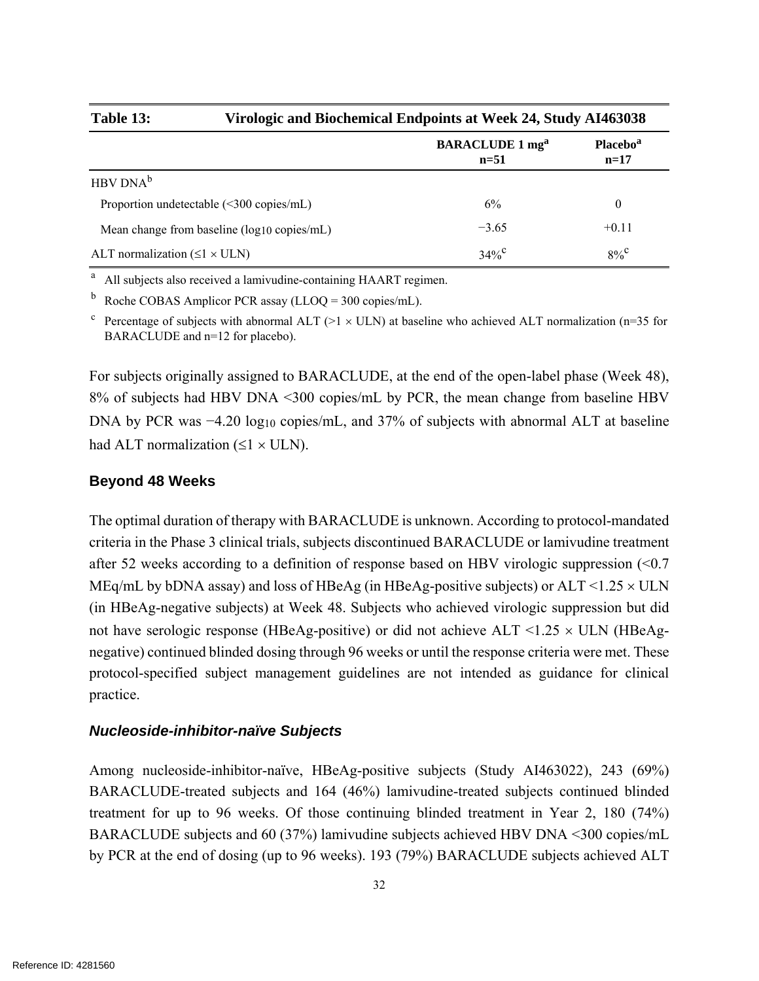**Table 13: Virologic and Biochemical Endpoints at Week 24, Study AI463038 BARACLUDE 1 mg<sup>a</sup> n=51 Placebo<sup>a</sup> n=17**   ${\rm HBV}\, {\rm DNA}^{\rm b}$ Proportion undetectable (<300 copies/mL) 6% 6% 0 Mean change from baseline (log10 copies/mL)  $-3.65$  +0.11 ALT normalization ( $\leq 1 \times \text{ULN}$ ) 34%<sup>c</sup>  $8\%$ <sup>c</sup>

<sup>a</sup> All subjects also received a lamivudine-containing HAART regimen.

<sup>b</sup> Roche COBAS Amplicor PCR assay (LLOQ = 300 copies/mL).

<sup>c</sup> Percentage of subjects with abnormal ALT (>1  $\times$  ULN) at baseline who achieved ALT normalization (n=35 for BARACLUDE and n=12 for placebo).

For subjects originally assigned to BARACLUDE, at the end of the open-label phase (Week 48), 8% of subjects had HBV DNA <300 copies/mL by PCR, the mean change from baseline HBV DNA by PCR was −4.20 log<sub>10</sub> copies/mL, and 37% of subjects with abnormal ALT at baseline had ALT normalization  $(\leq 1 \times \text{ULN})$ .

#### **Beyond 48 Weeks**

The optimal duration of therapy with BARACLUDE is unknown. According to protocol-mandated criteria in the Phase 3 clinical trials, subjects discontinued BARACLUDE or lamivudine treatment after 52 weeks according to a definition of response based on HBV virologic suppression (<0.7 MEq/mL by bDNA assay) and loss of HBeAg (in HBeAg-positive subjects) or  $ALT \le 1.25 \times ULN$ (in HBeAg-negative subjects) at Week 48. Subjects who achieved virologic suppression but did not have serologic response (HBeAg-positive) or did not achieve  $ALT \le 1.25 \times ULN$  (HBeAgnegative) continued blinded dosing through 96 weeks or until the response criteria were met. These protocol-specified subject management guidelines are not intended as guidance for clinical practice.

#### *Nucleoside-inhibitor-naïve Subjects*

Among nucleoside-inhibitor-naïve, HBeAg-positive subjects (Study AI463022), 243 (69%) BARACLUDE-treated subjects and 164 (46%) lamivudine-treated subjects continued blinded treatment for up to 96 weeks. Of those continuing blinded treatment in Year 2, 180 (74%) BARACLUDE subjects and 60 (37%) lamivudine subjects achieved HBV DNA <300 copies/mL by PCR at the end of dosing (up to 96 weeks). 193 (79%) BARACLUDE subjects achieved ALT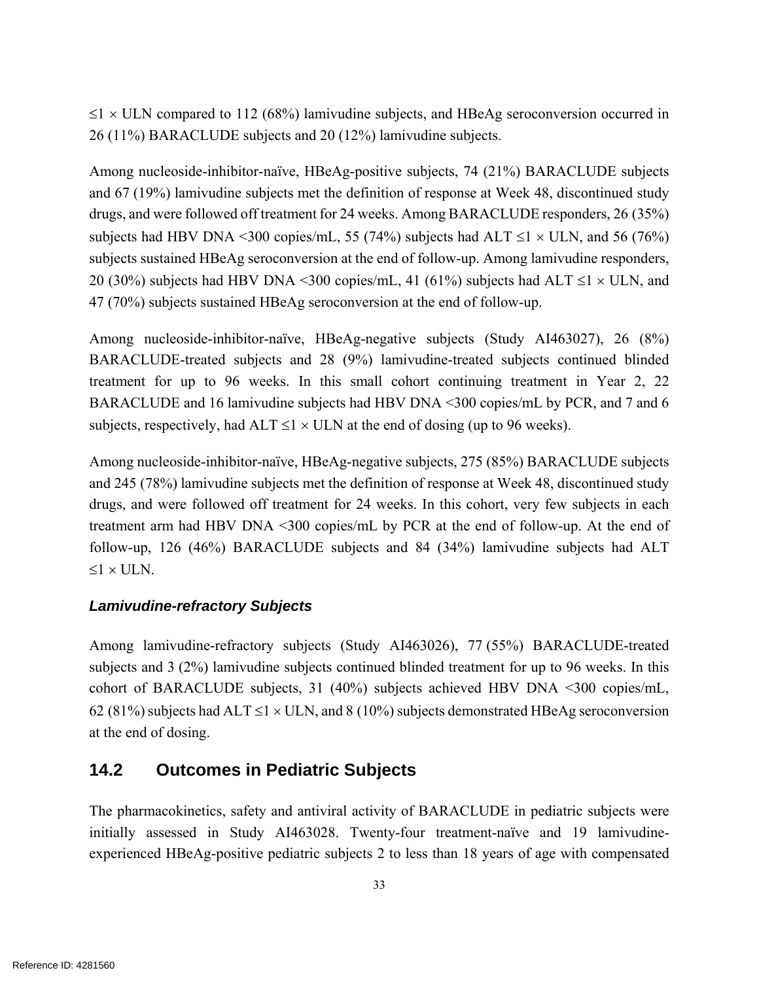$\leq$ 1 × ULN compared to 112 (68%) lamivudine subjects, and HBeAg seroconversion occurred in 26 (11%) BARACLUDE subjects and 20 (12%) lamivudine subjects.

Among nucleoside-inhibitor-naïve, HBeAg-positive subjects, 74 (21%) BARACLUDE subjects and 67 (19%) lamivudine subjects met the definition of response at Week 48, discontinued study drugs, and were followed off treatment for 24 weeks. Among BARACLUDE responders, 26 (35%) subjects had HBV DNA <300 copies/mL, 55 (74%) subjects had ALT  $\leq$ 1  $\times$  ULN, and 56 (76%) subjects sustained HBeAg seroconversion at the end of follow-up. Among lamivudine responders, 20 (30%) subjects had HBV DNA <300 copies/mL, 41 (61%) subjects had ALT  $\leq$ 1  $\times$  ULN, and 47 (70%) subjects sustained HBeAg seroconversion at the end of follow-up.

Among nucleoside-inhibitor-naïve, HBeAg-negative subjects (Study AI463027), 26 (8%) BARACLUDE-treated subjects and 28 (9%) lamivudine-treated subjects continued blinded treatment for up to 96 weeks. In this small cohort continuing treatment in Year 2, 22 BARACLUDE and 16 lamivudine subjects had HBV DNA <300 copies/mL by PCR, and 7 and 6 subjects, respectively, had ALT  $\leq$ 1  $\times$  ULN at the end of dosing (up to 96 weeks).

Among nucleoside-inhibitor-naïve, HBeAg-negative subjects, 275 (85%) BARACLUDE subjects and 245 (78%) lamivudine subjects met the definition of response at Week 48, discontinued study drugs, and were followed off treatment for 24 weeks. In this cohort, very few subjects in each treatment arm had HBV DNA <300 copies/mL by PCR at the end of follow-up. At the end of follow-up, 126 (46%) BARACLUDE subjects and 84 (34%) lamivudine subjects had ALT  $1 \times \text{I} \times \text{N}$ 

### *Lamivudine-refractory Subjects*

Among lamivudine-refractory subjects (Study AI463026), 77 (55%) BARACLUDE-treated subjects and 3 (2%) lamivudine subjects continued blinded treatment for up to 96 weeks. In this cohort of BARACLUDE subjects, 31 (40%) subjects achieved HBV DNA <300 copies/mL, 62 (81%) subjects had ALT  $\leq$  1  $\times$  ULN, and 8 (10%) subjects demonstrated HBeAg seroconversion at the end of dosing.

## **14.2 Outcomes in Pediatric Subjects**

The pharmacokinetics, safety and antiviral activity of BARACLUDE in pediatric subjects were initially assessed in Study AI463028. Twenty-four treatment-naïve and 19 lamivudineexperienced HBeAg-positive pediatric subjects 2 to less than 18 years of age with compensated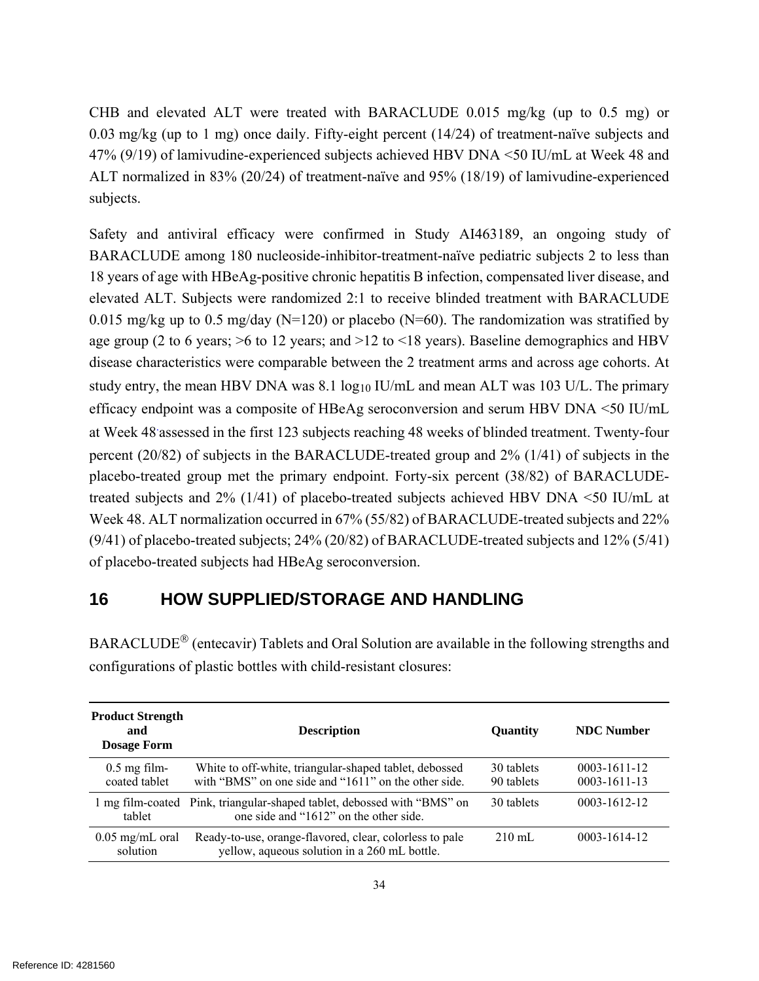CHB and elevated ALT were treated with BARACLUDE 0.015 mg/kg (up to 0.5 mg) or 0.03 mg/kg (up to 1 mg) once daily. Fifty-eight percent  $(14/24)$  of treatment-naïve subjects and 47% (9/19) of lamivudine-experienced subjects achieved HBV DNA <50 IU/mL at Week 48 and ALT normalized in 83% (20/24) of treatment-naïve and 95% (18/19) of lamivudine-experienced subjects.

Safety and antiviral efficacy were confirmed in Study AI463189, an ongoing study of BARACLUDE among 180 nucleoside-inhibitor-treatment-naïve pediatric subjects 2 to less than 18 years of age with HBeAg-positive chronic hepatitis B infection, compensated liver disease, and elevated ALT. Subjects were randomized 2:1 to receive blinded treatment with BARACLUDE 0.015 mg/kg up to 0.5 mg/day ( $N=120$ ) or placebo ( $N=60$ ). The randomization was stratified by age group (2 to 6 years; >6 to 12 years; and >12 to <18 years). Baseline demographics and HBV disease characteristics were comparable between the 2 treatment arms and across age cohorts. At study entry, the mean HBV DNA was  $8.1 \log_{10}$  IU/mL and mean ALT was 103 U/L. The primary efficacy endpoint was a composite of HBeAg seroconversion and serum HBV DNA <50 IU/mL at Week 48. assessed in the first 123 subjects reaching 48 weeks of blinded treatment. Twenty-four percent (20/82) of subjects in the BARACLUDE-treated group and 2% (1/41) of subjects in the placebo-treated group met the primary endpoint. Forty-six percent (38/82) of BARACLUDEtreated subjects and 2% (1/41) of placebo-treated subjects achieved HBV DNA <50 IU/mL at Week 48. ALT normalization occurred in 67% (55/82) of BARACLUDE-treated subjects and 22% (9/41) of placebo-treated subjects; 24% (20/82) of BARACLUDE-treated subjects and 12% (5/41) of placebo-treated subjects had HBeAg seroconversion.

## **16 HOW SUPPLIED/STORAGE AND HANDLING**

| <b>Product Strength</b><br>and<br><b>Dosage Form</b> | <b>Description</b>                                                                                                | Quantity                 | <b>NDC</b> Number                        |
|------------------------------------------------------|-------------------------------------------------------------------------------------------------------------------|--------------------------|------------------------------------------|
| $0.5$ mg film-<br>coated tablet                      | White to off-white, triangular-shaped tablet, debossed<br>with "BMS" on one side and "1611" on the other side     | 30 tablets<br>90 tablets | $0003 - 1611 - 12$<br>$0003 - 1611 - 13$ |
| tablet                                               | 1 mg film-coated Pink, triangular-shaped tablet, debossed with "BMS" on<br>one side and "1612" on the other side. | 30 tablets               | 0003-1612-12                             |
| $0.05$ mg/mL oral<br>solution                        | Ready-to-use, orange-flavored, clear, colorless to pale<br>yellow, aqueous solution in a 260 mL bottle.           | $210 \text{ mL}$         | 0003-1614-12                             |

 $BARACLE^{\circledR}$  (entecavir) Tablets and Oral Solution are available in the following strengths and configurations of plastic bottles with child-resistant closures: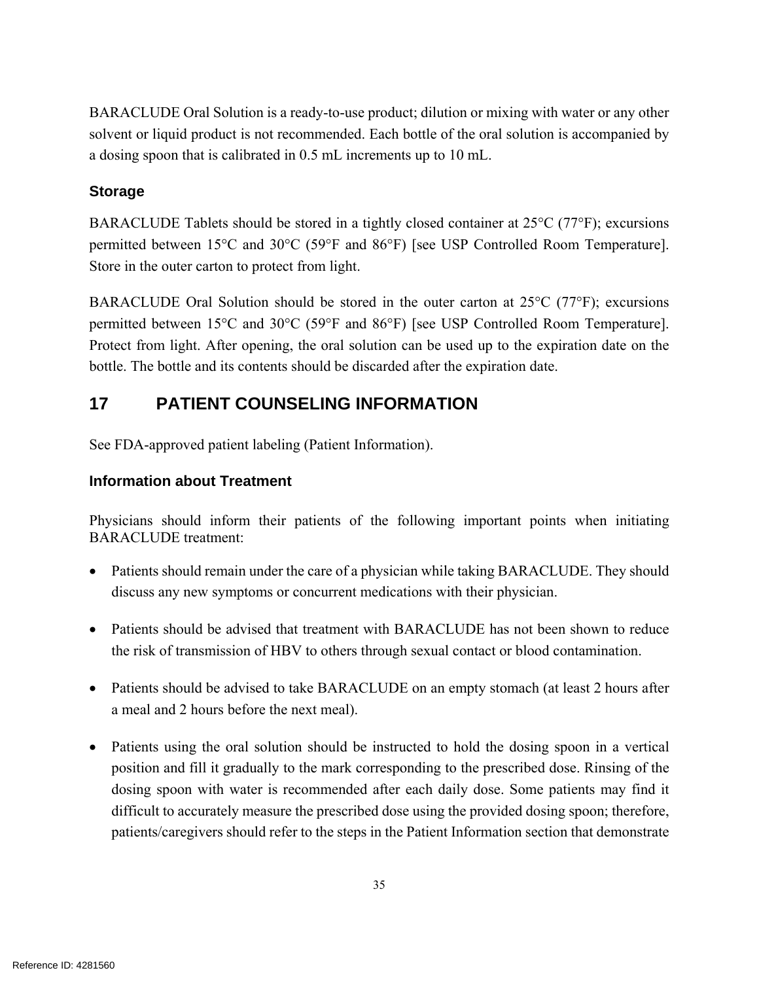BARACLUDE Oral Solution is a ready-to-use product; dilution or mixing with water or any other solvent or liquid product is not recommended. Each bottle of the oral solution is accompanied by a dosing spoon that is calibrated in 0.5 mL increments up to 10 mL.

### **Storage**

BARACLUDE Tablets should be stored in a tightly closed container at 25°C (77°F); excursions permitted between 15°C and 30°C (59°F and 86°F) [see USP Controlled Room Temperature]. Store in the outer carton to protect from light.

BARACLUDE Oral Solution should be stored in the outer carton at  $25^{\circ}C$  (77 $^{\circ}F$ ); excursions permitted between 15°C and 30°C (59°F and 86°F) [see USP Controlled Room Temperature]. Protect from light. After opening, the oral solution can be used up to the expiration date on the bottle. The bottle and its contents should be discarded after the expiration date.

## **17 PATIENT COUNSELING INFORMATION**

See FDA-approved patient labeling (Patient Information).

### **Information about Treatment**

Physicians should inform their patients of the following important points when initiating BARACLUDE treatment:

- Patients should remain under the care of a physician while taking BARACLUDE. They should discuss any new symptoms or concurrent medications with their physician.
- Patients should be advised that treatment with BARACLUDE has not been shown to reduce the risk of transmission of HBV to others through sexual contact or blood contamination.
- Patients should be advised to take BARACLUDE on an empty stomach (at least 2 hours after a meal and 2 hours before the next meal).
- Patients using the oral solution should be instructed to hold the dosing spoon in a vertical position and fill it gradually to the mark corresponding to the prescribed dose. Rinsing of the dosing spoon with water is recommended after each daily dose. Some patients may find it difficult to accurately measure the prescribed dose using the provided dosing spoon; therefore, patients/caregivers should refer to the steps in the Patient Information section that demonstrate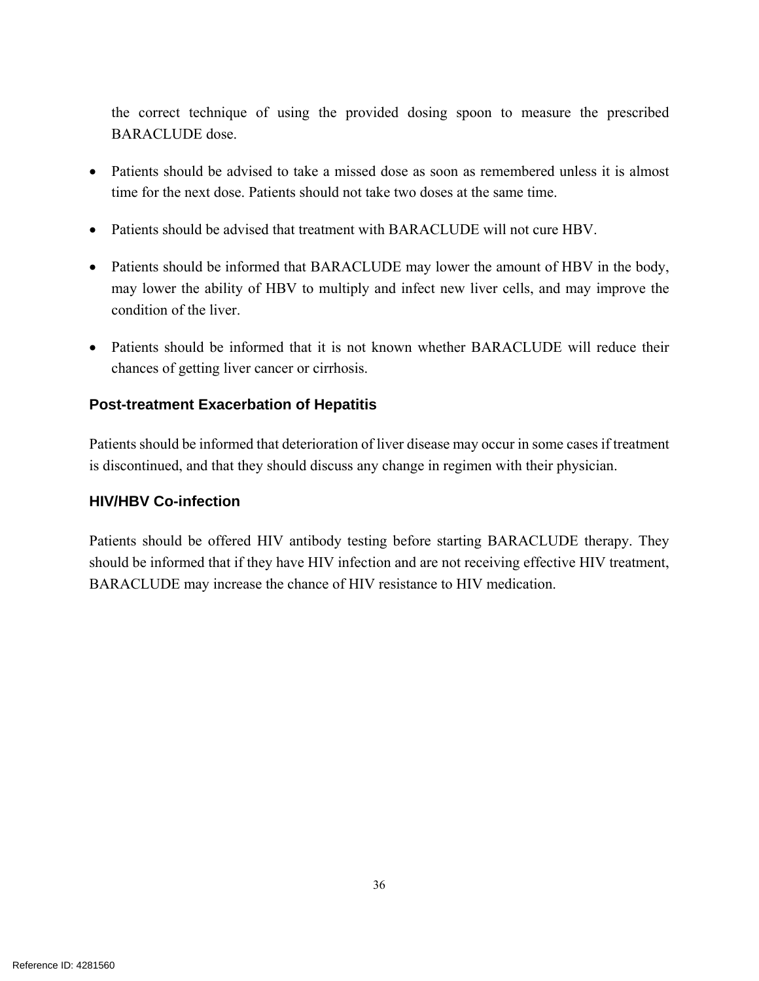the correct technique of using the provided dosing spoon to measure the prescribed BARACLUDE dose.

- Patients should be advised to take a missed dose as soon as remembered unless it is almost time for the next dose. Patients should not take two doses at the same time.
- Patients should be advised that treatment with BARACLUDE will not cure HBV.
- Patients should be informed that BARACLUDE may lower the amount of HBV in the body, may lower the ability of HBV to multiply and infect new liver cells, and may improve the condition of the liver.
- Patients should be informed that it is not known whether BARACLUDE will reduce their chances of getting liver cancer or cirrhosis.

#### **Post-treatment Exacerbation of Hepatitis**

Patients should be informed that deterioration of liver disease may occur in some cases if treatment is discontinued, and that they should discuss any change in regimen with their physician.

#### **HIV/HBV Co-infection**

Patients should be offered HIV antibody testing before starting BARACLUDE therapy. They should be informed that if they have HIV infection and are not receiving effective HIV treatment, BARACLUDE may increase the chance of HIV resistance to HIV medication.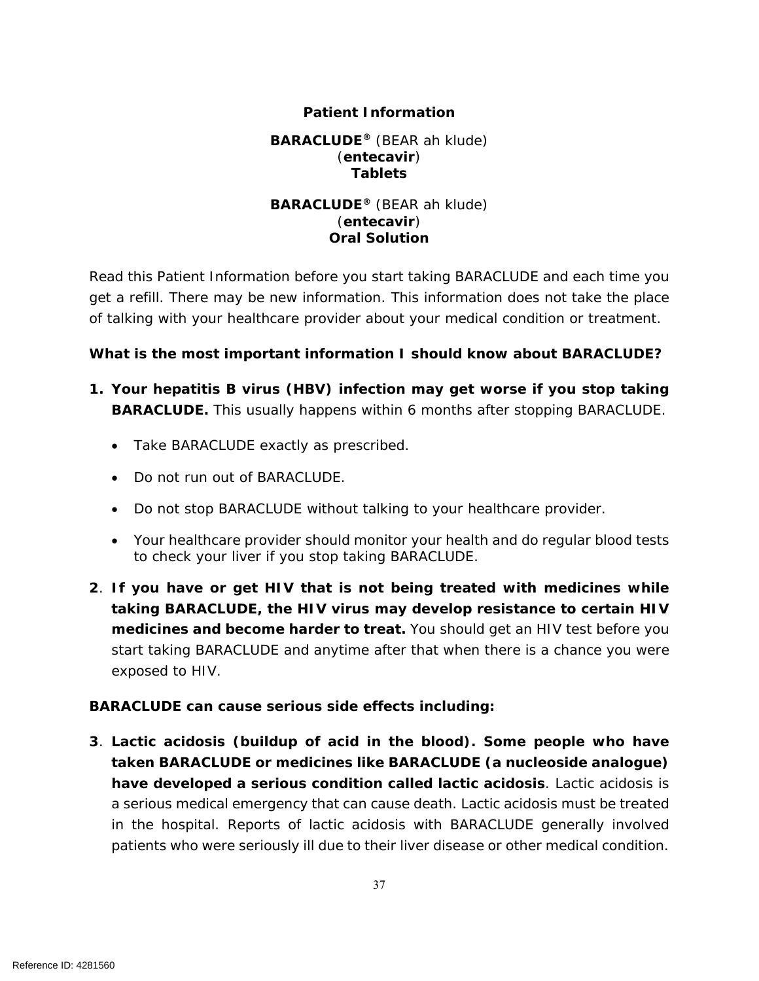#### **Patient Information**

#### **BARACLUDE®** (BEAR ah klude) (**entecavir**) **Tablets**

#### **BARACLUDE®** (BEAR ah klude) (**entecavir**) **Oral Solution**

Read this Patient Information before you start taking BARACLUDE and each time you get a refill. There may be new information. This information does not take the place of talking with your healthcare provider about your medical condition or treatment.

#### **What is the most important information I should know about BARACLUDE?**

- **1. Your hepatitis B virus (HBV) infection may get worse if you stop taking BARACLUDE.** This usually happens within 6 months after stopping BARACLUDE.
	- Take BARACLUDE exactly as prescribed.
	- Do not run out of BARACLUDE.
	- Do not stop BARACLUDE without talking to your healthcare provider.
	- Your healthcare provider should monitor your health and do regular blood tests to check your liver if you stop taking BARACLUDE.
- **2**. **If you have or get HIV that is not being treated with medicines while taking BARACLUDE, the HIV virus may develop resistance to certain HIV medicines and become harder to treat.** You should get an HIV test before you start taking BARACLUDE and anytime after that when there is a chance you were exposed to HIV.

### **BARACLUDE can cause serious side effects including:**

**3**. **Lactic acidosis (buildup of acid in the blood). Some people who have taken BARACLUDE or medicines like BARACLUDE (a nucleoside analogue) have developed a serious condition called lactic acidosis**. Lactic acidosis is a serious medical emergency that can cause death. Lactic acidosis must be treated in the hospital. Reports of lactic acidosis with BARACLUDE generally involved patients who were seriously ill due to their liver disease or other medical condition.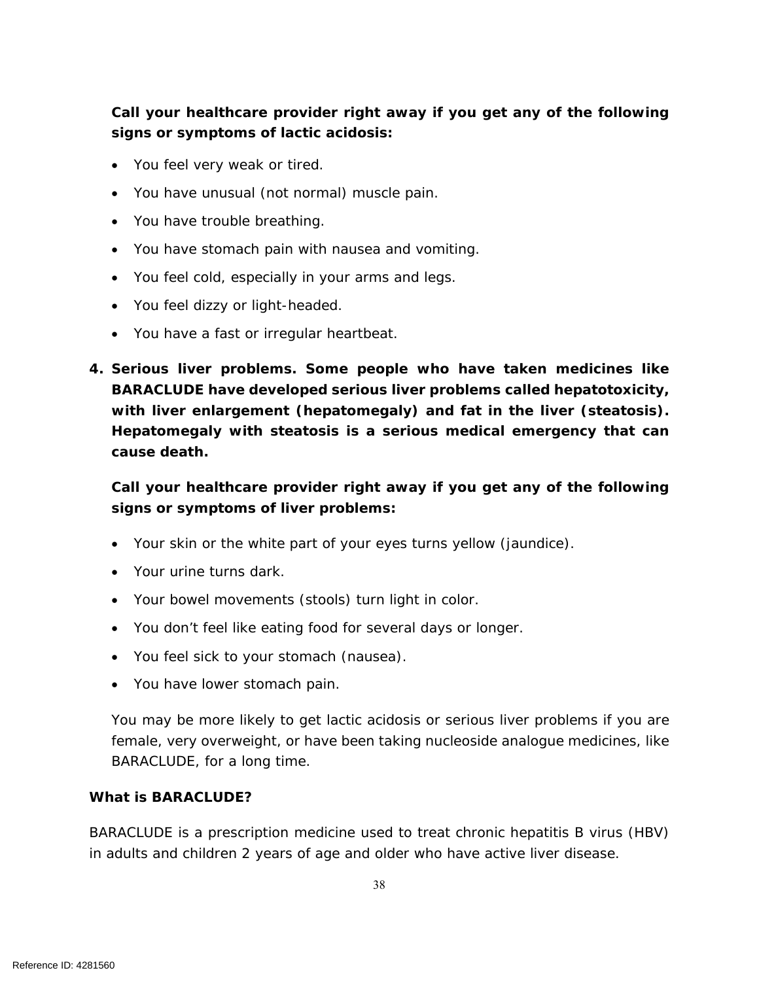## **Call your healthcare provider right away if you get any of the following signs or symptoms of lactic acidosis:**

- You feel very weak or tired.
- You have unusual (not normal) muscle pain.
- You have trouble breathing.
- You have stomach pain with nausea and vomiting.
- You feel cold, especially in your arms and legs.
- You feel dizzy or light-headed.
- You have a fast or irregular heartbeat.
- **4. Serious liver problems. Some people who have taken medicines like BARACLUDE have developed serious liver problems called hepatotoxicity, with liver enlargement (hepatomegaly) and fat in the liver (steatosis). Hepatomegaly with steatosis is a serious medical emergency that can cause death.**

**Call your healthcare provider right away if you get any of the following signs or symptoms of liver problems:**

- Your skin or the white part of your eyes turns yellow (jaundice).
- Your urine turns dark.
- Your bowel movements (stools) turn light in color.
- You don't feel like eating food for several days or longer.
- You feel sick to your stomach (nausea).
- You have lower stomach pain.

You may be more likely to get lactic acidosis or serious liver problems if you are female, very overweight, or have been taking nucleoside analogue medicines, like BARACLUDE, for a long time.

#### **What is BARACLUDE?**

BARACLUDE is a prescription medicine used to treat chronic hepatitis B virus (HBV) in adults and children 2 years of age and older who have active liver disease.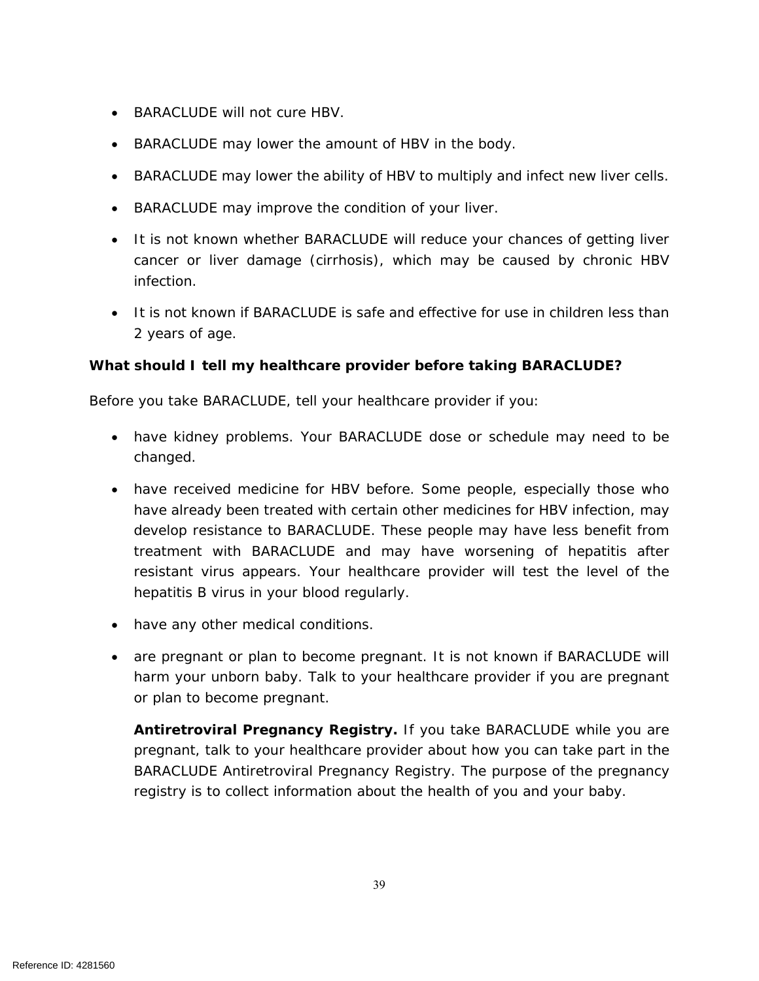- BARACLUDE will not cure HBV.
- BARACLUDE may lower the amount of HBV in the body.
- BARACLUDE may lower the ability of HBV to multiply and infect new liver cells.
- BARACLUDE may improve the condition of your liver.
- It is not known whether BARACLUDE will reduce your chances of getting liver cancer or liver damage (cirrhosis), which may be caused by chronic HBV infection.
- It is not known if BARACLUDE is safe and effective for use in children less than 2 years of age.

#### **What should I tell my healthcare provider before taking BARACLUDE?**

Before you take BARACLUDE, tell your healthcare provider if you:

- have kidney problems. Your BARACLUDE dose or schedule may need to be changed.
- have received medicine for HBV before. Some people, especially those who have already been treated with certain other medicines for HBV infection, may develop resistance to BARACLUDE. These people may have less benefit from treatment with BARACLUDE and may have worsening of hepatitis after resistant virus appears. Your healthcare provider will test the level of the hepatitis B virus in your blood regularly.
- have any other medical conditions.
- are pregnant or plan to become pregnant. It is not known if BARACLUDE will harm your unborn baby. Talk to your healthcare provider if you are pregnant or plan to become pregnant.

**Antiretroviral Pregnancy Registry.** If you take BARACLUDE while you are pregnant, talk to your healthcare provider about how you can take part in the BARACLUDE Antiretroviral Pregnancy Registry. The purpose of the pregnancy registry is to collect information about the health of you and your baby.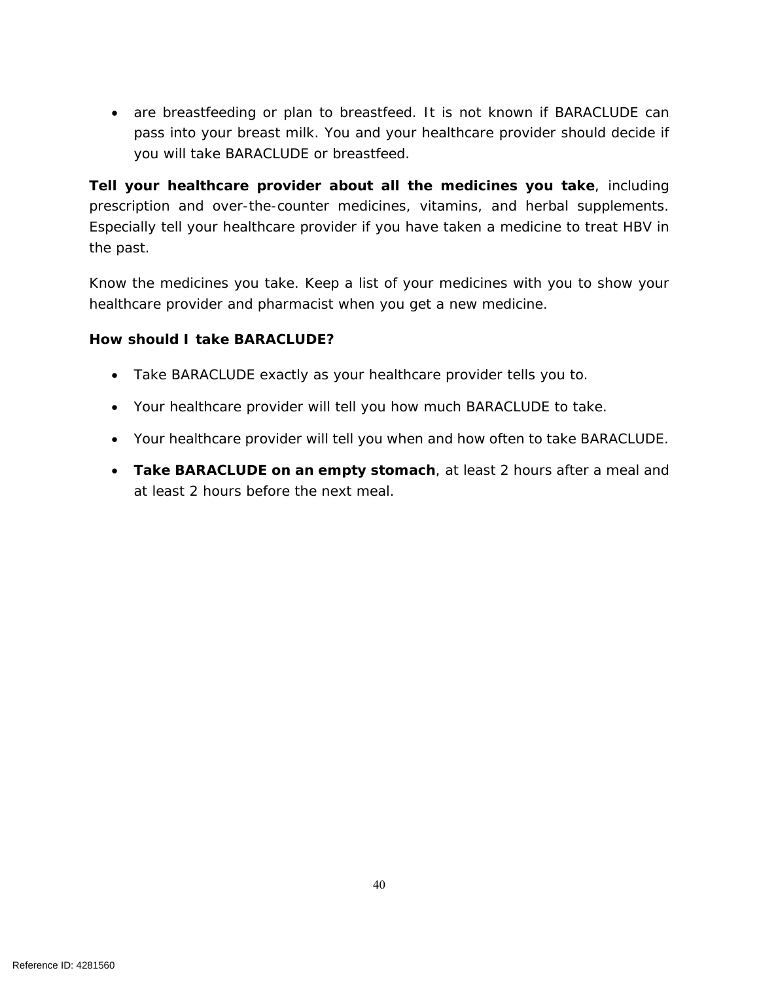are breastfeeding or plan to breastfeed. It is not known if BARACLUDE can pass into your breast milk. You and your healthcare provider should decide if you will take BARACLUDE or breastfeed.

**Tell your healthcare provider about all the medicines you take**, including prescription and over-the-counter medicines, vitamins, and herbal supplements. Especially tell your healthcare provider if you have taken a medicine to treat HBV in the past.

Know the medicines you take. Keep a list of your medicines with you to show your healthcare provider and pharmacist when you get a new medicine.

#### **How should I take BARACLUDE?**

- Take BARACLUDE exactly as your healthcare provider tells you to.
- Your healthcare provider will tell you how much BARACLUDE to take.
- Your healthcare provider will tell you when and how often to take BARACLUDE.
- **Take BARACLUDE on an empty stomach**, at least 2 hours after a meal and at least 2 hours before the next meal.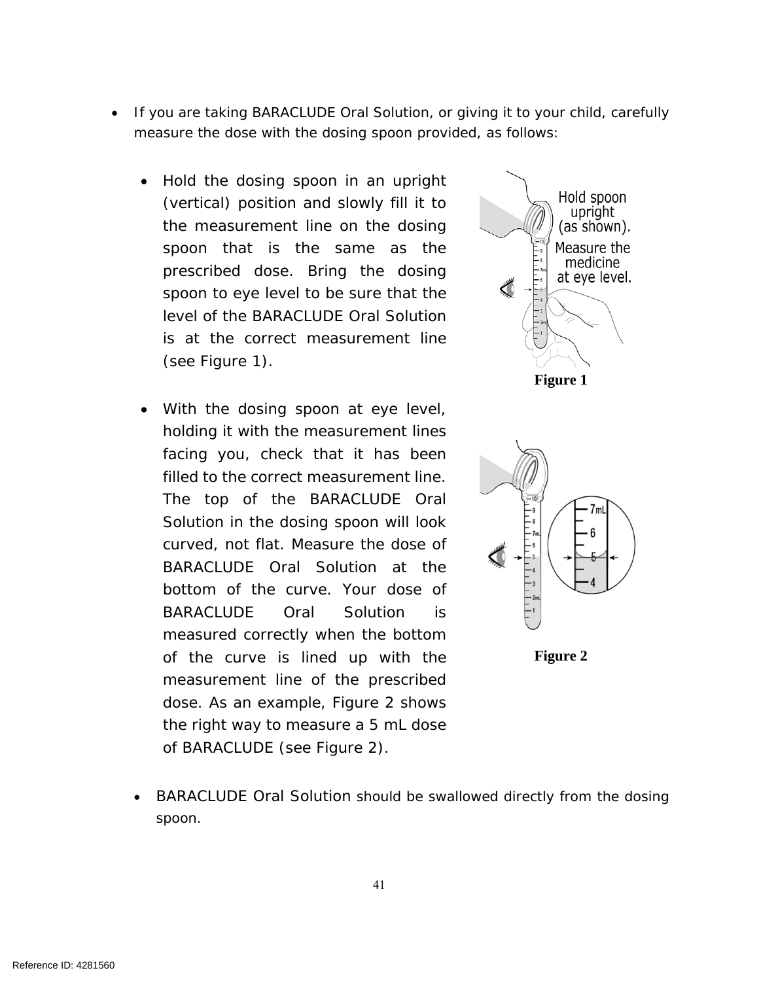- If you are taking BARACLUDE Oral Solution, or giving it to your child, carefully measure the dose with the dosing spoon provided, as follows:
	- Hold the dosing spoon in an upright (vertical) position and slowly fill it to the measurement line on the dosing spoon that is the same as the prescribed dose. Bring the dosing spoon to eye level to be sure that the level of the BARACLUDE Oral Solution is at the correct measurement line (see Figure 1).
	- With the dosing spoon at eye level, holding it with the measurement lines facing you, check that it has been filled to the correct measurement line. The top of the BARACLUDE Oral Solution in the dosing spoon will look curved, not flat. Measure the dose of BARACLUDE Oral Solution at the bottom of the curve. Your dose of BARACLUDE Oral Solution is measured correctly when the bottom of the curve is lined up with the measurement line of the prescribed dose. As an example, Figure 2 shows the right way to measure a 5 mL dose of BARACLUDE (see Figure 2).





**Figure 2** 

 BARACLUDE Oral Solution should be swallowed directly from the dosing spoon.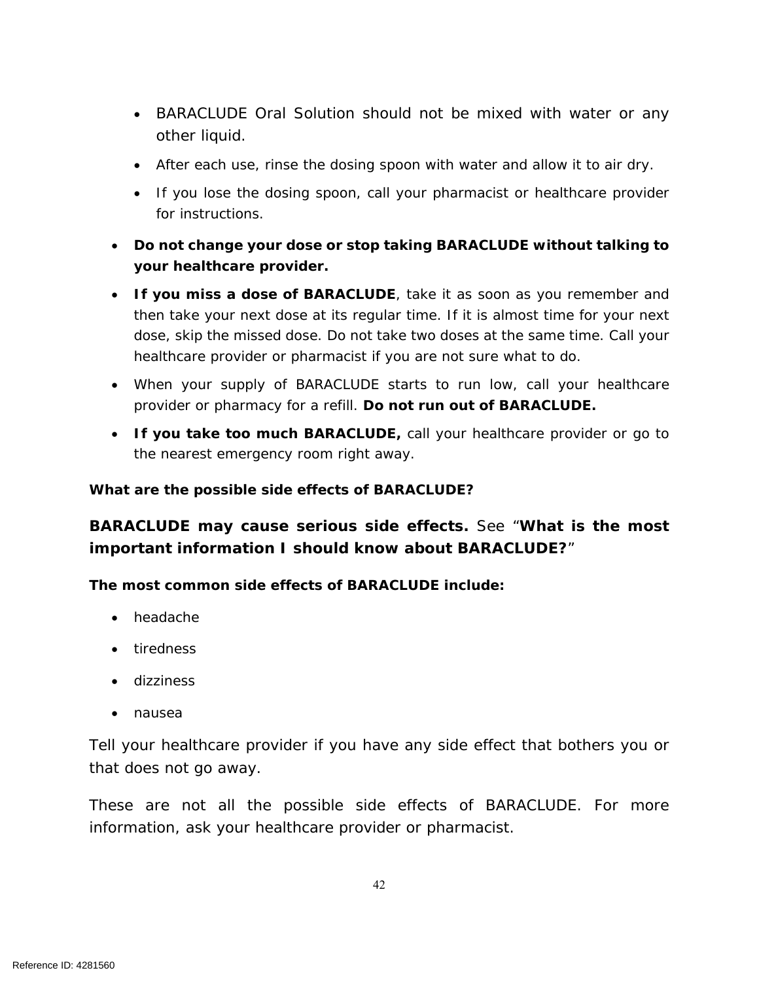- BARACLUDE Oral Solution should not be mixed with water or any other liquid.
- After each use, rinse the dosing spoon with water and allow it to air dry.
- If you lose the dosing spoon, call your pharmacist or healthcare provider for instructions.
- **Do not change your dose or stop taking BARACLUDE without talking to your healthcare provider.**
- **If you miss a dose of BARACLUDE**, take it as soon as you remember and then take your next dose at its regular time. If it is almost time for your next dose, skip the missed dose. Do not take two doses at the same time. Call your healthcare provider or pharmacist if you are not sure what to do.
- When your supply of BARACLUDE starts to run low, call your healthcare provider or pharmacy for a refill. **Do not run out of BARACLUDE.**
- **If you take too much BARACLUDE,** call your healthcare provider or go to the nearest emergency room right away.

#### **What are the possible side effects of BARACLUDE?**

## **BARACLUDE may cause serious side effects.** See "**What is the most important information I should know about BARACLUDE?**"

**The most common side effects of BARACLUDE include:**

- headache
- tiredness
- **dizziness**
- nausea

Tell your healthcare provider if you have any side effect that bothers you or that does not go away.

These are not all the possible side effects of BARACLUDE. For more information, ask your healthcare provider or pharmacist.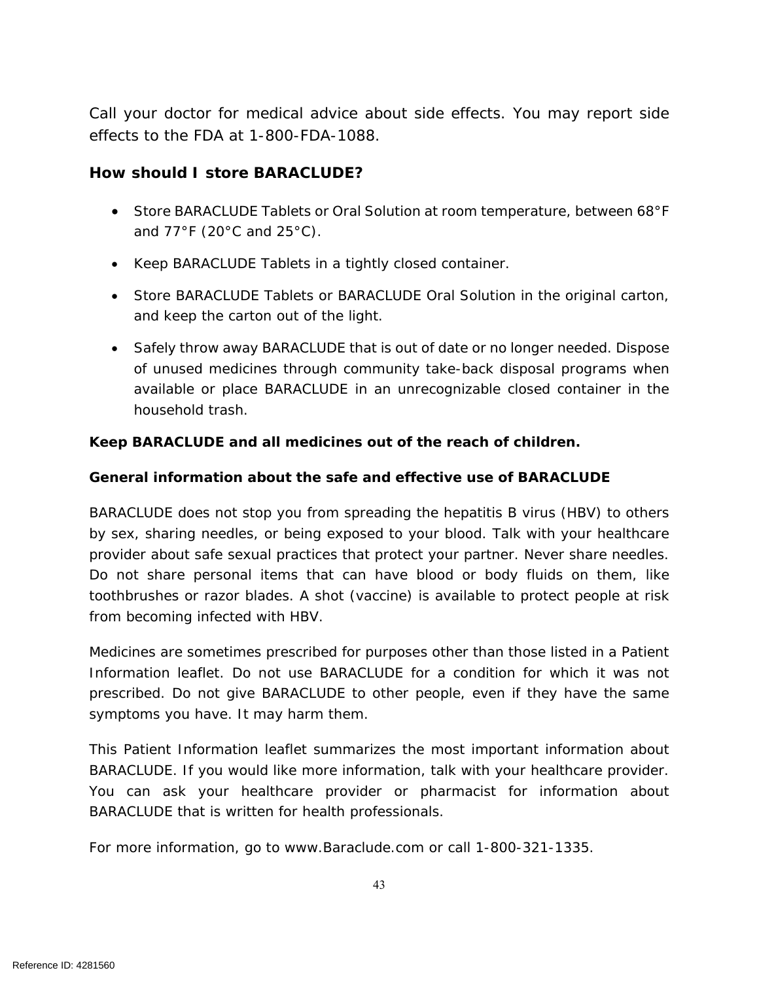Call your doctor for medical advice about side effects. You may report side effects to the FDA at 1-800-FDA-1088.

### **How should I store BARACLUDE?**

- Store BARACLUDE Tablets or Oral Solution at room temperature, between 68°F and 77°F (20°C and 25°C).
- Keep BARACLUDE Tablets in a tightly closed container.
- Store BARACLUDE Tablets or BARACLUDE Oral Solution in the original carton, and keep the carton out of the light.
- Safely throw away BARACLUDE that is out of date or no longer needed. Dispose of unused medicines through community take-back disposal programs when available or place BARACLUDE in an unrecognizable closed container in the household trash.

#### **Keep BARACLUDE and all medicines out of the reach of children.**

#### **General information about the safe and effective use of BARACLUDE**

BARACLUDE does not stop you from spreading the hepatitis B virus (HBV) to others by sex, sharing needles, or being exposed to your blood. Talk with your healthcare provider about safe sexual practices that protect your partner. Never share needles. Do not share personal items that can have blood or body fluids on them, like toothbrushes or razor blades. A shot (vaccine) is available to protect people at risk from becoming infected with HBV.

Medicines are sometimes prescribed for purposes other than those listed in a Patient Information leaflet. Do not use BARACLUDE for a condition for which it was not prescribed. Do not give BARACLUDE to other people, even if they have the same symptoms you have. It may harm them.

This Patient Information leaflet summarizes the most important information about BARACLUDE. If you would like more information, talk with your healthcare provider. You can ask your healthcare provider or pharmacist for information about BARACLUDE that is written for health professionals.

For more information, go to *www.Baraclude.com* or call 1-800-321-1335.